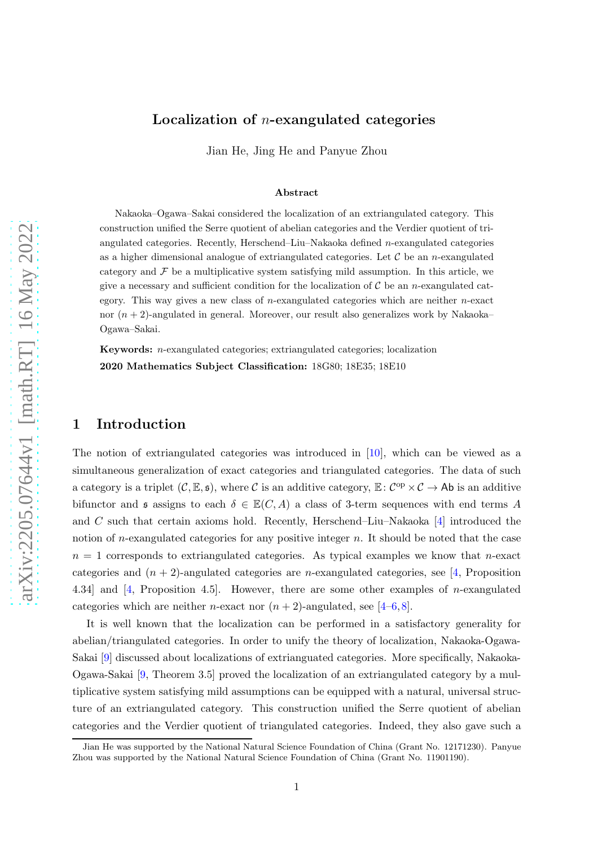# Localization of  $n$ -exangulated categories

Jian He, Jing He and Panyue Zhou

#### Abstract

Nakaoka–Ogawa–Sakai considered the localization of an extriangulated category. This construction unified the Serre quotient of abelian categories and the Verdier quotient of triangulated categories. Recently, Herschend–Liu–Nakaoka defined  $n$ -exangulated categories as a higher dimensional analogue of extriangulated categories. Let  $\mathcal C$  be an *n*-exangulated category and  $\mathcal F$  be a multiplicative system satisfying mild assumption. In this article, we give a necessary and sufficient condition for the localization of  $\mathcal C$  be an *n*-exangulated category. This way gives a new class of *n*-exangulated categories which are neither *n*-exact nor  $(n + 2)$ -angulated in general. Moreover, our result also generalizes work by Nakaoka– Ogawa–Sakai.

Keywords: n-exangulated categories; extriangulated categories; localization 2020 Mathematics Subject Classification: 18G80; 18E35; 18E10

## 1 Introduction

The notion of extriangulated categories was introduced in [\[10\]](#page-19-0), which can be viewed as a simultaneous generalization of exact categories and triangulated categories. The data of such a category is a triplet  $(C, \mathbb{E}, \mathfrak{s})$ , where C is an additive category,  $\mathbb{E}: C^{op} \times C \to \mathsf{Ab}$  is an additive bifunctor and s assigns to each  $\delta \in \mathbb{E}(C, A)$  a class of 3-term sequences with end terms A and C such that certain axioms hold. Recently, Herschend–Liu–Nakaoka  $[4]$  introduced the notion of *n*-exangulated categories for any positive integer  $n$ . It should be noted that the case  $n = 1$  corresponds to extriangulated categories. As typical examples we know that *n*-exact categories and  $(n + 2)$ -angulated categories are *n*-exangulated categories, see [\[4,](#page-19-1) Proposition 4.34] and [\[4,](#page-19-1) Proposition 4.5]. However, there are some other examples of n-exangulated categories which are neither *n*-exact nor  $(n + 2)$ -angulated, see [\[4–](#page-19-1)[6,](#page-19-2)[8\]](#page-19-3).

It is well known that the localization can be performed in a satisfactory generality for abelian/triangulated categories. In order to unify the theory of localization, Nakaoka-Ogawa-Sakai [\[9\]](#page-19-4) discussed about localizations of extrianguated categories. More specifically, Nakaoka-Ogawa-Sakai [\[9,](#page-19-4) Theorem 3.5] proved the localization of an extriangulated category by a multiplicative system satisfying mild assumptions can be equipped with a natural, universal structure of an extriangulated category. This construction unified the Serre quotient of abelian categories and the Verdier quotient of triangulated categories. Indeed, they also gave such a

Jian He was supported by the National Natural Science Foundation of China (Grant No. 12171230). Panyue Zhou was supported by the National Natural Science Foundation of China (Grant No. 11901190).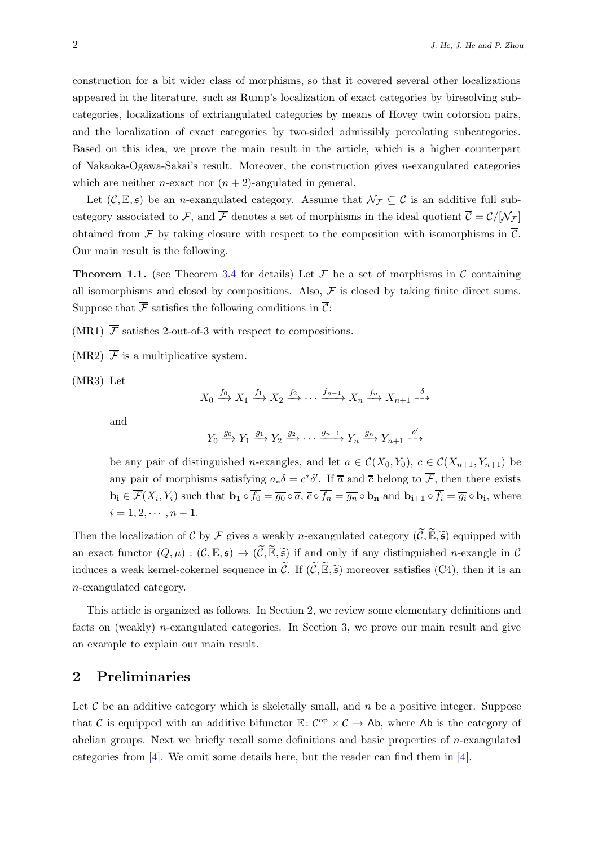construction for a bit wider class of morphisms, so that it covered several other localizations appeared in the literature, such as Rump's localization of exact categories by biresolving subcategories, localizations of extriangulated categories by means of Hovey twin cotorsion pairs, and the localization of exact categories by two-sided admissibly percolating subcategories. Based on this idea, we prove the main result in the article, which is a higher counterpart of Nakaoka-Ogawa-Sakai's result. Moreover, the construction gives n-exangulated categories which are neither *n*-exact nor  $(n + 2)$ -angulated in general.

Let  $(C, \mathbb{E}, \mathfrak{s})$  be an *n*-exangulated category. Assume that  $\mathcal{N}_{\mathcal{F}} \subseteq \mathcal{C}$  is an additive full subcategory associated to F, and  $\overline{\mathcal{F}}$  denotes a set of morphisms in the ideal quotient  $\overline{\mathcal{C}} = \mathcal{C}/[\mathcal{N}_{\mathcal{F}}]$ obtained from F by taking closure with respect to the composition with isomorphisms in  $\overline{\mathcal{C}}$ . Our main result is the following.

**Theorem 1.1.** (see Theorem [3.4](#page-7-0) for details) Let  $\mathcal F$  be a set of morphisms in  $\mathcal C$  containing all isomorphisms and closed by compositions. Also,  $\mathcal F$  is closed by taking finite direct sums. Suppose that  $\overline{\mathcal{F}}$  satisfies the following conditions in  $\overline{\mathcal{C}}$ :

(MR1)  $\overline{\mathcal{F}}$  satisfies 2-out-of-3 with respect to compositions.

(MR2)  $\overline{\mathcal{F}}$  is a multiplicative system.

(MR3) Let

$$
X_0 \xrightarrow{f_0} X_1 \xrightarrow{f_1} X_2 \xrightarrow{f_2} \cdots \xrightarrow{f_{n-1}} X_n \xrightarrow{f_n} X_{n+1} \xrightarrow{\delta}
$$

and

$$
Y_0 \xrightarrow{g_0} Y_1 \xrightarrow{g_1} Y_2 \xrightarrow{g_2} \cdots \xrightarrow{g_{n-1}} Y_n \xrightarrow{g_n} Y_{n+1} \xrightarrow{\delta'}
$$

be any pair of distinguished n-exangles, and let  $a \in \mathcal{C}(X_0, Y_0)$ ,  $c \in \mathcal{C}(X_{n+1}, Y_{n+1})$  be any pair of morphisms satisfying  $a_*\delta = c^*\delta'$ . If  $\overline{a}$  and  $\overline{c}$  belong to  $\overline{\mathcal{F}}$ , then there exists  $\mathbf{b_i} \in \mathcal{F}(X_i, Y_i)$  such that  $\mathbf{b_1} \circ f_0 = \overline{g_0} \circ \overline{a}, \overline{c} \circ f_n = \overline{g_n} \circ \mathbf{b_n}$  and  $\mathbf{b_{i+1}} \circ f_i = \overline{g_i} \circ \mathbf{b_i}$ , where  $i = 1, 2, \cdots, n - 1.$ 

Then the localization of C by F gives a weakly n-exangulated category  $(\widetilde{C}, \widetilde{\mathbb{E}}, \widetilde{\mathfrak{s}})$  equipped with an exact functor  $(Q, \mu) : (\mathcal{C}, \mathbb{E}, \mathfrak{s}) \to (\widetilde{\mathcal{C}}, \widetilde{\mathbb{E}}, \widetilde{\mathfrak{s}})$  if and only if any distinguished *n*-exangle in  $\mathcal{C}$ induces a weak kernel-cokernel sequence in  $\tilde{C}$ . If  $(\tilde{C}, \tilde{\mathbb{E}}, \tilde{\mathfrak{s}})$  moreover satisfies (C4), then it is an n-exangulated category.

This article is organized as follows. In Section 2, we review some elementary definitions and facts on (weakly) n-exangulated categories. In Section 3, we prove our main result and give an example to explain our main result.

## 2 Preliminaries

Let  $\mathcal C$  be an additive category which is skeletally small, and  $n$  be a positive integer. Suppose that C is equipped with an additive bifunctor  $\mathbb{E}: C^{op} \times C \to Ab$ , where Ab is the category of abelian groups. Next we briefly recall some definitions and basic properties of n-exangulated categories from [\[4\]](#page-19-1). We omit some details here, but the reader can find them in [4].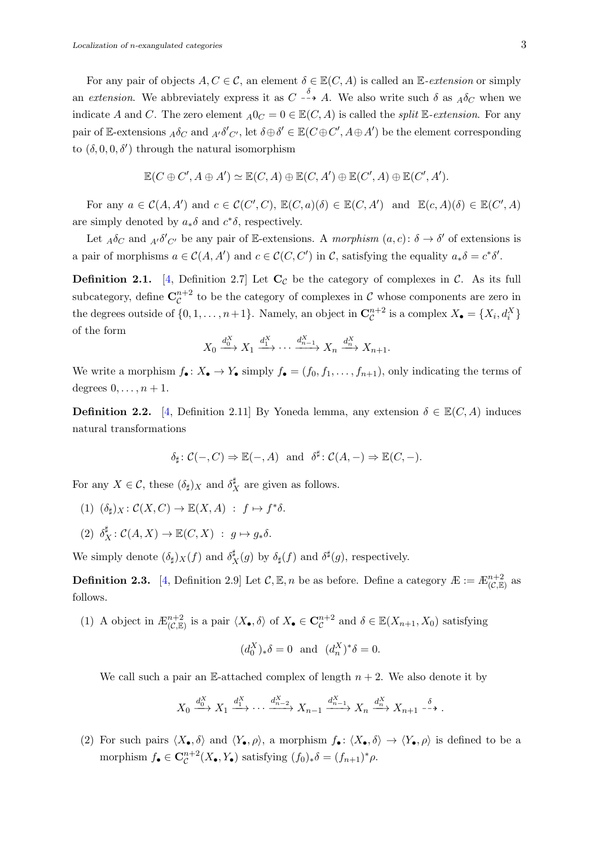For any pair of objects  $A, C \in \mathcal{C}$ , an element  $\delta \in \mathbb{E}(C, A)$  is called an E-extension or simply an extension. We abbreviately express it as  $C \dashrightarrow A$ . We also write such  $\delta$  as  $_A \delta_C$  when we indicate A and C. The zero element  $_A0_C = 0 \in \mathbb{E}(C, A)$  is called the *split* E-extension. For any pair of E-extensions  $_A \delta_C$  and  $_{A'} \delta'_{C'}$ , let  $\delta \oplus \delta' \in \mathbb{E}(C \oplus C', A \oplus A')$  be the element corresponding to  $(\delta, 0, 0, \delta')$  through the natural isomorphism

$$
\mathbb{E}(C \oplus C', A \oplus A') \simeq \mathbb{E}(C, A) \oplus \mathbb{E}(C, A') \oplus \mathbb{E}(C', A) \oplus \mathbb{E}(C', A').
$$

For any  $a \in \mathcal{C}(A, A')$  and  $c \in \mathcal{C}(C', C)$ ,  $\mathbb{E}(C, a)(\delta) \in \mathbb{E}(C, A')$  and  $\mathbb{E}(c, A)(\delta) \in \mathbb{E}(C', A)$ are simply denoted by  $a_*\delta$  and  $c^*\delta$ , respectively.

Let  $_A\delta_C$  and  $_{A'}\delta'_{C'}$  be any pair of E-extensions. A morphism  $(a, c)$ :  $\delta \to \delta'$  of extensions is a pair of morphisms  $a \in \mathcal{C}(A, A')$  and  $c \in \mathcal{C}(C, C')$  in C, satisfying the equality  $a_*\delta = c^*\delta'.$ 

**Definition 2.1.** [\[4,](#page-19-1) Definition 2.7] Let  $C_{\mathcal{C}}$  be the category of complexes in  $\mathcal{C}$ . As its full subcategory, define  $\mathbf{C}^{n+2}_{\mathcal{C}}$  $\mathcal{C}^{n+2}$  to be the category of complexes in  $\mathcal C$  whose components are zero in the degrees outside of  $\{0, 1, \ldots, n+1\}$ . Namely, an object in  $\mathbb{C}_{\mathcal{C}}^{n+2}$  $\mathcal{C}^{n+2}$  is a complex  $X_{\bullet} = \{X_i, d_i^X\}$ of the form

$$
X_0 \xrightarrow{d_0^X} X_1 \xrightarrow{d_1^X} \cdots \xrightarrow{d_{n-1}^X} X_n \xrightarrow{d_n^X} X_{n+1}.
$$

We write a morphism  $f_{\bullet}: X_{\bullet} \to Y_{\bullet}$  simply  $f_{\bullet} = (f_0, f_1, \ldots, f_{n+1}),$  only indicating the terms of degrees  $0, \ldots, n+1$ .

**Definition 2.2.** [\[4,](#page-19-1) Definition 2.11] By Yoneda lemma, any extension  $\delta \in \mathbb{E}(C, A)$  induces natural transformations

$$
\delta_\sharp\colon \mathcal{C}(-,C)\Rightarrow \mathbb{E}(-,A)\ \ \text{and}\ \ \delta^\sharp\colon \mathcal{C}(A,-)\Rightarrow \mathbb{E}(C,-).
$$

For any  $X \in \mathcal{C}$ , these  $(\delta_{\sharp})_X$  and  $\delta_{\mathcal{I}}^{\sharp}$  $_X^{\mu}$  are given as follows.

- (1)  $(\delta_{\sharp})_X \colon \mathcal{C}(X, C) \to \mathbb{E}(X, A) : f \mapsto f^* \delta.$
- (2)  $\delta_X^{\sharp} : \mathcal{C}(A, X) \to \mathbb{E}(C, X) : g \mapsto g_* \delta.$

We simply denote  $(\delta_{\sharp})_X(f)$  and  $\delta_{\mathfrak{Z}}^{\sharp}$  $_X^{\sharp}(g)$  by  $\delta_{\sharp}(f)$  and  $\delta^{\sharp}(g)$ , respectively.

**Definition 2.3.** [\[4,](#page-19-1) Definition 2.9] Let  $\mathcal{C}, \mathbb{E}, n$  be as before. Define a category  $\mathcal{F} := \mathcal{F}_{(\mathcal{C}, \mathbb{E})}^{n+2}$  as follows.

(1) A object in  $E_{(\mathcal{C}, \mathbb{E})}^{n+2}$  is a pair  $\langle X_{\bullet}, \delta \rangle$  of  $X_{\bullet} \in \mathbb{C}_{\mathcal{C}}^{n+2}$  $c^{n+2}$  and  $\delta \in \mathbb{E}(X_{n+1}, X_0)$  satisfying  $(d_0^X)_*\delta = 0$  and  $(d_n^X)^*\delta = 0$ .

We call such a pair an E-attached complex of length  $n + 2$ . We also denote it by

$$
X_0 \xrightarrow{d_0^X} X_1 \xrightarrow{d_1^X} \cdots \xrightarrow{d_{n-2}^X} X_{n-1} \xrightarrow{d_{n-1}^X} X_n \xrightarrow{d_n^X} X_{n+1} \xrightarrow{\delta}.
$$

(2) For such pairs  $\langle X_{\bullet}, \delta \rangle$  and  $\langle Y_{\bullet}, \rho \rangle$ , a morphism  $f_{\bullet} : \langle X_{\bullet}, \delta \rangle \to \langle Y_{\bullet}, \rho \rangle$  is defined to be a morphism  $f_{\bullet} \in \mathbf{C}_{\mathcal{C}}^{n+2}$  ${}_{\mathcal{C}}^{n+2}(X_{\bullet}, Y_{\bullet})$  satisfying  $(f_0)_{*}\delta = (f_{n+1})_{*}\rho$ .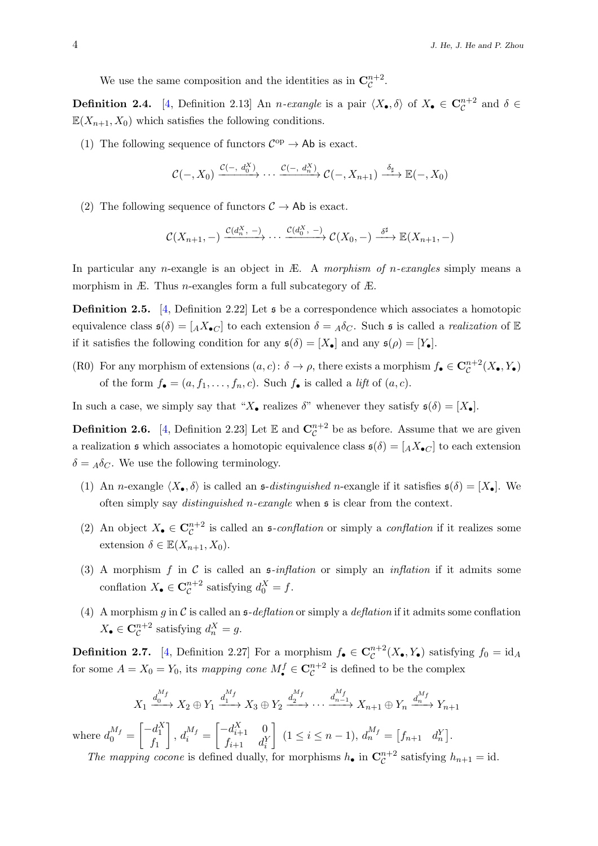We use the same composition and the identities as in  $\mathbf{C}_{\mathcal{C}}^{n+2}$  $\mathcal{C}^{n+2}$ .

**Definition 2.4.** [\[4,](#page-19-1) Definition 2.13] An *n*-exangle is a pair  $\langle X_{\bullet}, \delta \rangle$  of  $X_{\bullet} \in \mathbb{C}_{\mathcal{C}}^{n+2}$  and  $\delta \in$  $\mathbb{E}(X_{n+1}, X_0)$  which satisfies the following conditions.

(1) The following sequence of functors  $\mathcal{C}^{\mathrm{op}} \to \mathsf{Ab}$  is exact.

$$
\mathcal{C}(-,X_0) \xrightarrow{\mathcal{C}(-,d_0^X)} \cdots \xrightarrow{\mathcal{C}(-,d_n^X)} \mathcal{C}(-,X_{n+1}) \xrightarrow{\delta_{\sharp}} \mathbb{E}(-,X_0)
$$

(2) The following sequence of functors  $C \rightarrow Ab$  is exact.

$$
\mathcal{C}(X_{n+1},-)\xrightarrow{\mathcal{C}(d_n^X,-)}\cdots\xrightarrow{\mathcal{C}(d_0^X,-)}\mathcal{C}(X_0,-)\xrightarrow{\delta^{\sharp}}\mathbb{E}(X_{n+1},-)
$$

In particular any *n*-exangle is an object in  $E$ . A *morphism of n-exangles* simply means a morphism in  $E$ . Thus *n*-exangles form a full subcategory of  $E$ .

<span id="page-3-0"></span>**Definition 2.5.** [\[4,](#page-19-1) Definition 2.22] Let  $\mathfrak{s}$  be a correspondence which associates a homotopic equivalence class  $\mathfrak{s}(\delta) = [A X_{\bullet} C]$  to each extension  $\delta = A \delta_C$ . Such  $\mathfrak{s}$  is called a *realization* of  $\mathbb{E}$ if it satisfies the following condition for any  $\mathfrak{s}(\delta) = [X_{\bullet}]$  and any  $\mathfrak{s}(\rho) = [Y_{\bullet}]$ .

(R0) For any morphism of extensions  $(a, c)$ :  $\delta \to \rho$ , there exists a morphism  $f_{\bullet} \in \mathbb{C}_{\mathcal{C}}^{n+2}$  $\mathcal{C}^{n+2}(X_{\bullet}, Y_{\bullet})$ of the form  $f_{\bullet} = (a, f_1, \ldots, f_n, c)$ . Such  $f_{\bullet}$  is called a *lift* of  $(a, c)$ .

In such a case, we simply say that " $X_{\bullet}$  realizes  $\delta$ " whenever they satisfy  $\mathfrak{s}(\delta) = [X_{\bullet}]$ .

**Definition 2.6.** [\[4,](#page-19-1) Definition 2.23] Let  $\mathbb{E}$  and  $\mathbf{C}_{\mathcal{C}}^{n+2}$  $\mathcal{C}^{n+2}$  be as before. Assume that we are given a realization  $\mathfrak s$  which associates a homotopic equivalence class  $\mathfrak s(\delta) = [A X_{\bullet}C]$  to each extension  $\delta = A \delta_C$ . We use the following terminology.

- (1) An n-exangle  $\langle X_{\bullet}, \delta \rangle$  is called an s-distinguished n-exangle if it satisfies  $\mathfrak{s}(\delta) = [X_{\bullet}]$ . We often simply say distinguished n-exangle when s is clear from the context.
- (2) An object  $X_{\bullet} \in \mathbb{C}_{\mathcal{C}}^{n+2}$  is called an  $\mathfrak{s}\text{-}conflation$  or simply a *conflation* if it realizes some extension  $\delta \in \mathbb{E}(X_{n+1}, X_0)$ .
- (3) A morphism f in C is called an  $\mathfrak{s}\text{-}inflation$  or simply an *inflation* if it admits some conflation  $X_{\bullet} \in \mathbf{C}_{\mathcal{C}}^{n+2}$  $a_{\mathcal{C}}^{n+2}$  satisfying  $d_{0}^{X} = f$ .
- (4) A morphism g in C is called an  $\mathfrak{s}\text{-}deflation$  or simply a deflation if it admits some conflation  $X_{\bullet}\in {\mathbf C}^{n+2}_{{\mathcal C}}$  $a_c^{n+2}$  satisfying  $d_n^X = g$ .

**Definition 2.7.** [\[4,](#page-19-1) Definition 2.27] For a morphism  $f_{\bullet} \in \mathbb{C}_{\mathcal{C}}^{n+2}$  $\mathcal{C}^{n+2}(X_{\bullet}, Y_{\bullet})$  satisfying  $f_0 = id_A$ for some  $A = X_0 = Y_0$ , its mapping cone  $M_{\bullet}^f \in \mathbb{C}_{\mathcal{C}}^{n+2}$  is defined to be the complex

$$
X_1 \xrightarrow{d_0^{M_f}} X_2 \oplus Y_1 \xrightarrow{d_1^{M_f}} X_3 \oplus Y_2 \xrightarrow{d_2^{M_f}} \cdots \xrightarrow{d_{n-1}^{M_f}} X_{n+1} \oplus Y_n \xrightarrow{d_n^{M_f}} Y_{n+1}
$$

where  $d_0^{M_f} =$  $\begin{bmatrix} -d_1^X \end{bmatrix}$  $f_1$  $\Bigg], d_i^{M_f} =$  $\begin{bmatrix} -d_{i+1}^X & 0 \end{bmatrix}$  $f_{i+1}$   $d_i^Y$  $\left[ (1 \leq i \leq n-1), d_n^{M_f} = [f_{n+1} \quad d_n^Y].$ 

The mapping cocone is defined dually, for morphisms  $h_{\bullet}$  in  $\mathbb{C}_{\mathcal{C}}^{n+2}$  $_{\mathcal{C}}^{n+2}$  satisfying  $h_{n+1} = id$ .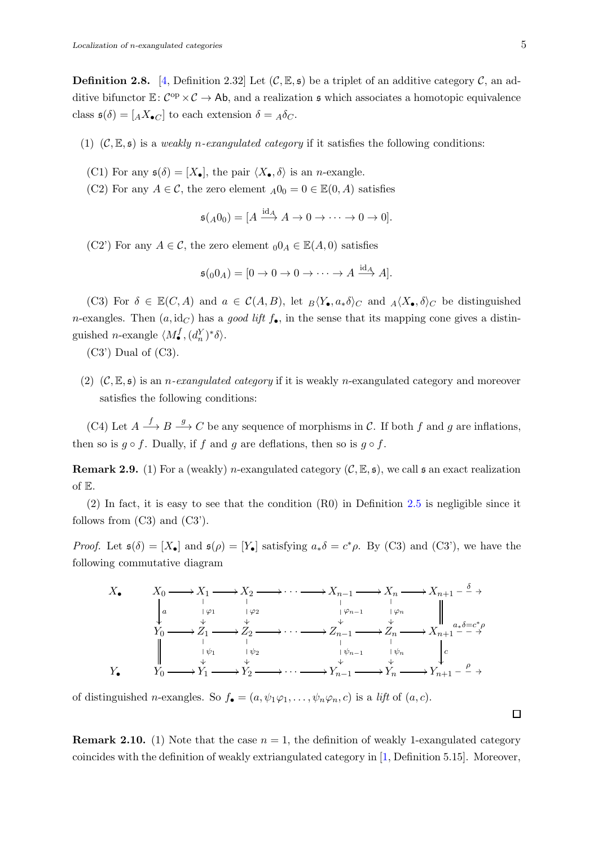**Definition 2.8.** [\[4,](#page-19-1) Definition 2.32] Let  $(C, \mathbb{E}, \mathfrak{s})$  be a triplet of an additive category C, an additive bifunctor  $\mathbb{E}: C^{op} \times C \to Ab$ , and a realization  $\mathfrak s$  which associates a homotopic equivalence class  $\mathfrak{s}(\delta) = [A X_{\bullet} C]$  to each extension  $\delta = A \delta_C$ .

- (1)  $(C, \mathbb{E}, \mathfrak{s})$  is a *weakly n-exangulated category* if it satisfies the following conditions:
	- (C1) For any  $\mathfrak{s}(\delta) = [X_{\bullet}],$  the pair  $\langle X_{\bullet}, \delta \rangle$  is an *n*-exangle.
	- (C2) For any  $A \in \mathcal{C}$ , the zero element  $_A0_0 = 0 \in \mathbb{E}(0, A)$  satisfies

$$
\mathfrak{s}(A_0) = [A \xrightarrow{\mathrm{id}_A} A \to 0 \to \cdots \to 0 \to 0].
$$

(C2') For any  $A \in \mathcal{C}$ , the zero element  $_00_A \in \mathbb{E}(A, 0)$  satisfies

$$
\mathfrak{s}(00_A) = [0 \to 0 \to 0 \to \cdots \to A \stackrel{\text{id}_A}{\longrightarrow} A].
$$

(C3) For  $\delta \in \mathbb{E}(C, A)$  and  $a \in \mathcal{C}(A, B)$ , let  $B\langle Y_{\bullet}, a_{*}\delta \rangle_C$  and  $A\langle X_{\bullet}, \delta \rangle_C$  be distinguished n-exangles. Then  $(a, id_C)$  has a good lift  $f_{\bullet}$ , in the sense that its mapping cone gives a distinguished *n*-exangle  $\langle M_{\bullet}^f, (d_n^Y)^* \delta \rangle$ .

 $(C3')$  Dual of  $(C3)$ .

(2)  $(C, \mathbb{E}, \mathfrak{s})$  is an *n-exangulated category* if it is weakly *n*-exangulated category and moreover satisfies the following conditions:

(C4) Let  $A \stackrel{f}{\longrightarrow} B \stackrel{g}{\longrightarrow} C$  be any sequence of morphisms in C. If both f and g are inflations, then so is  $g \circ f$ . Dually, if f and g are deflations, then so is  $g \circ f$ .

**Remark 2.9.** (1) For a (weakly) n-exangulated category  $(C, \mathbb{E}, \mathfrak{s})$ , we call  $\mathfrak{s}$  an exact realization of E.

(2) In fact, it is easy to see that the condition (R0) in Definition [2.5](#page-3-0) is negligible since it follows from  $(C3)$  and  $(C3')$ .

*Proof.* Let  $\mathfrak{s}(\delta) = [X_{\bullet}]$  and  $\mathfrak{s}(\rho) = [Y_{\bullet}]$  satisfying  $a_{*}\delta = c^{*}\rho$ . By (C3) and (C3'), we have the following commutative diagram



of distinguished *n*-exangles. So  $f_{\bullet} = (a, \psi_1 \varphi_1, \dots, \psi_n \varphi_n, c)$  is a *lift* of  $(a, c)$ .

**Remark 2.10.** (1) Note that the case  $n = 1$ , the definition of weakly 1-exangulated category coincides with the definition of weakly extriangulated category in [\[1,](#page-19-5) Definition 5.15]. Moreover,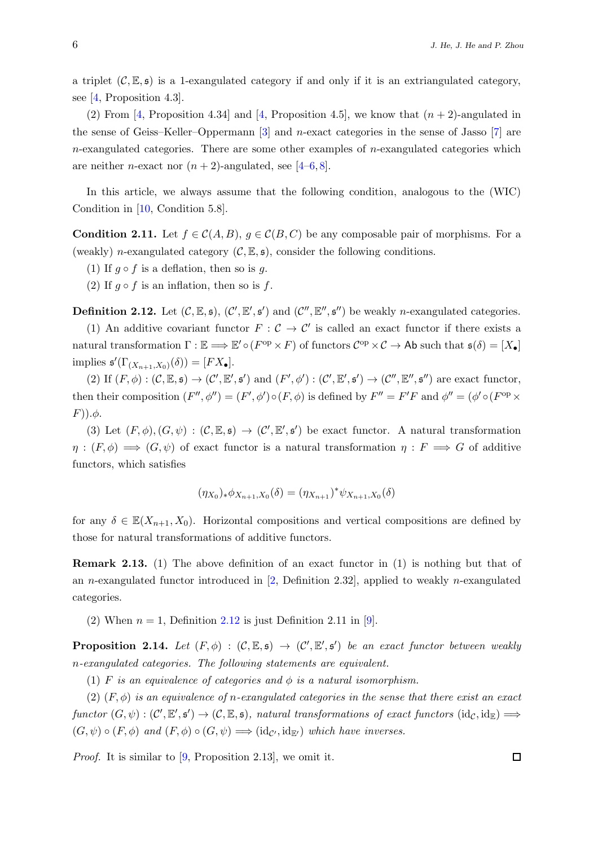a triplet  $(C, \mathbb{E}, \mathfrak{s})$  is a 1-exangulated category if and only if it is an extriangulated category, see [\[4,](#page-19-1) Proposition 4.3].

(2) From [\[4,](#page-19-1) Proposition 4.34] and [4, Proposition 4.5], we know that  $(n + 2)$ -angulated in the sense of Geiss–Keller–Oppermann [\[3\]](#page-19-6) and n-exact categories in the sense of Jasso [\[7\]](#page-19-7) are  $n$ -exangulated categories. There are some other examples of  $n$ -exangulated categories which are neither *n*-exact nor  $(n+2)$ -angulated, see [\[4–](#page-19-1)[6,](#page-19-2)[8\]](#page-19-3).

In this article, we always assume that the following condition, analogous to the (WIC) Condition in [\[10,](#page-19-0) Condition 5.8].

<span id="page-5-1"></span>**Condition 2.11.** Let  $f \in \mathcal{C}(A, B)$ ,  $g \in \mathcal{C}(B, C)$  be any composable pair of morphisms. For a (weakly) n-exangulated category  $(C, \mathbb{E}, \mathfrak{s})$ , consider the following conditions.

(1) If  $g \circ f$  is a deflation, then so is g.

(2) If  $g \circ f$  is an inflation, then so is f.

<span id="page-5-0"></span>**Definition 2.12.** Let  $(C, \mathbb{E}, \mathfrak{s})$ ,  $(C', \mathbb{E}', \mathfrak{s}')$  and  $(C'', \mathbb{E}'', \mathfrak{s}'')$  be weakly *n*-exangulated categories.

(1) An additive covariant functor  $F: \mathcal{C} \to \mathcal{C}'$  is called an exact functor if there exists a natural transformation  $\Gamma : \mathbb{E} \Longrightarrow \mathbb{E}' \circ (F^{\rm op} \times F)$  of functors  $C^{\rm op} \times C \to A\mathsf{b}$  such that  $\mathfrak{s}(\delta) = [X_{\bullet}]$ implies  $\mathfrak{s}'(\Gamma_{(X_{n+1},X_0)}(\delta)) = [FX_\bullet].$ 

(2) If  $(F, \phi) : (\mathcal{C}, \mathbb{E}, \mathfrak{s}) \to (\mathcal{C}', \mathbb{E}', \mathfrak{s}')$  and  $(F', \phi') : (\mathcal{C}', \mathbb{E}', \mathfrak{s}') \to (\mathcal{C}'', \mathbb{E}'', \mathfrak{s}'')$  are exact functor, then their composition  $(F'', \phi'') = (F', \phi') \circ (F, \phi)$  is defined by  $F'' = F'F$  and  $\phi'' = (\phi' \circ (F^{op} \times$  $(F)$ ). $\phi$ .

(3) Let  $(F, \phi), (G, \psi) : (\mathcal{C}, \mathbb{E}, \mathfrak{s}) \to (\mathcal{C}', \mathbb{E}', \mathfrak{s}')$  be exact functor. A natural transformation  $\eta : (F, \phi) \longrightarrow (G, \psi)$  of exact functor is a natural transformation  $\eta : F \longrightarrow G$  of additive functors, which satisfies

$$
(\eta_{X_0})_* \phi_{X_{n+1}, X_0}(\delta) = (\eta_{X_{n+1}})^* \psi_{X_{n+1}, X_0}(\delta)
$$

for any  $\delta \in \mathbb{E}(X_{n+1}, X_0)$ . Horizontal compositions and vertical compositions are defined by those for natural transformations of additive functors.

Remark 2.13. (1) The above definition of an exact functor in (1) is nothing but that of an n-exangulated functor introduced in  $[2,$  Definition 2.32], applied to weakly n-exangulated categories.

(2) When  $n = 1$ , Definition [2.12](#page-5-0) is just Definition 2.11 in [\[9\]](#page-19-4).

<span id="page-5-2"></span>**Proposition 2.14.** Let  $(F, \phi) : (\mathcal{C}, \mathbb{E}, \mathfrak{s}) \to (\mathcal{C}', \mathbb{E}', \mathfrak{s}')$  be an exact functor between weakly n-exangulated categories. The following statements are equivalent.

(1) F is an equivalence of categories and  $\phi$  is a natural isomorphism.

(2)  $(F, \phi)$  is an equivalence of n-exangulated categories in the sense that there exist an exact  $functor(G,\psi): (C', \mathbb{E}', \mathfrak{s}') \to (C, \mathbb{E}, \mathfrak{s}),$  natural transformations of exact functors  $(id_C, id_{\mathbb{E}}) \Longrightarrow$  $(G, \psi) \circ (F, \phi)$  and  $(F, \phi) \circ (G, \psi) \Longrightarrow (id_{\mathcal{C}'}, id_{\mathbb{F}'})$  which have inverses.

*Proof.* It is similar to  $[9,$  Proposition 2.13, we omit it.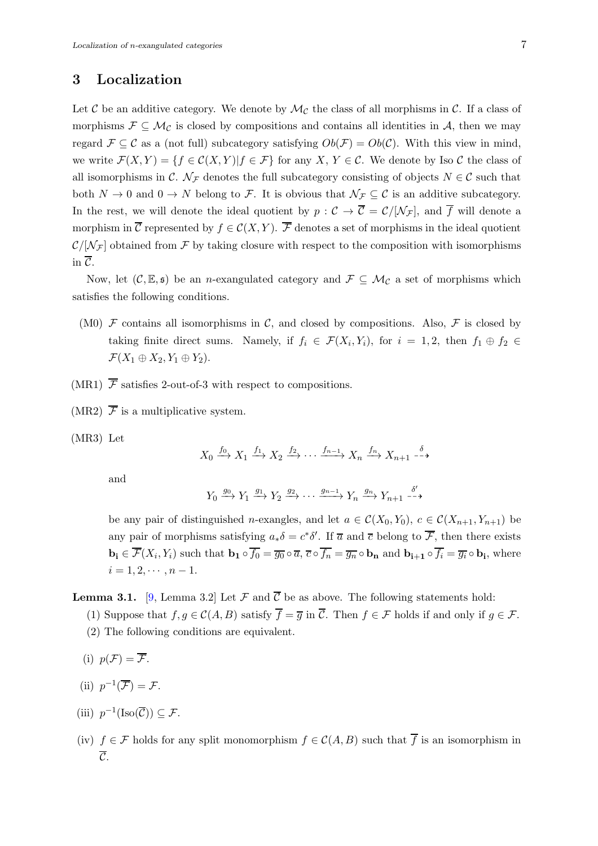# 3 Localization

Let C be an additive category. We denote by  $\mathcal{M}_{\mathcal{C}}$  the class of all morphisms in C. If a class of morphisms  $\mathcal{F} \subseteq \mathcal{M}_{\mathcal{C}}$  is closed by compositions and contains all identities in A, then we may regard  $\mathcal{F} \subseteq \mathcal{C}$  as a (not full) subcategory satisfying  $Ob(\mathcal{F}) = Ob(\mathcal{C})$ . With this view in mind, we write  $\mathcal{F}(X, Y) = \{f \in \mathcal{C}(X, Y) | f \in \mathcal{F}\}\$ for any X, Y  $\in \mathcal{C}$ . We denote by Iso  $\mathcal{C}$  the class of all isomorphisms in C.  $\mathcal{N}_{\mathcal{F}}$  denotes the full subcategory consisting of objects  $N \in \mathcal{C}$  such that both  $N \to 0$  and  $0 \to N$  belong to F. It is obvious that  $\mathcal{N}_{\mathcal{F}} \subseteq \mathcal{C}$  is an additive subcategory. In the rest, we will denote the ideal quotient by  $p : C \to \overline{C} = C/[\mathcal{N}_{\mathcal{F}}]$ , and  $\overline{f}$  will denote a morphism in  $\overline{\mathcal{C}}$  represented by  $f \in \mathcal{C}(X, Y)$ .  $\overline{\mathcal{F}}$  denotes a set of morphisms in the ideal quotient  $\mathcal{C}/[\mathcal{N}_{\mathcal{F}}]$  obtained from  $\mathcal F$  by taking closure with respect to the composition with isomorphisms in  $\overline{\mathcal{C}}$ .

Now, let  $(C, \mathbb{E}, \mathfrak{s})$  be an *n*-exangulated category and  $\mathcal{F} \subseteq \mathcal{M}_{\mathcal{C}}$  a set of morphisms which satisfies the following conditions.

- (M0)  $\mathcal F$  contains all isomorphisms in  $\mathcal C$ , and closed by compositions. Also,  $\mathcal F$  is closed by taking finite direct sums. Namely, if  $f_i \in \mathcal{F}(X_i, Y_i)$ , for  $i = 1, 2$ , then  $f_1 \oplus f_2 \in$  $\mathcal{F}(X_1 \oplus X_2, Y_1 \oplus Y_2).$
- (MR1)  $\overline{\mathcal{F}}$  satisfies 2-out-of-3 with respect to compositions.
- (MR2)  $\overline{\mathcal{F}}$  is a multiplicative system.
- (MR3) Let

$$
X_0 \xrightarrow{f_0} X_1 \xrightarrow{f_1} X_2 \xrightarrow{f_2} \cdots \xrightarrow{f_{n-1}} X_n \xrightarrow{f_n} X_{n+1} \xrightarrow{\delta}
$$

and

$$
Y_0 \xrightarrow{g_0} Y_1 \xrightarrow{g_1} Y_2 \xrightarrow{g_2} \cdots \xrightarrow{g_{n-1}} Y_n \xrightarrow{g_n} Y_{n+1} \xrightarrow{\delta'}
$$

be any pair of distinguished n-exangles, and let  $a \in \mathcal{C}(X_0, Y_0)$ ,  $c \in \mathcal{C}(X_{n+1}, Y_{n+1})$  be any pair of morphisms satisfying  $a_*\delta = c^*\delta'$ . If  $\overline{a}$  and  $\overline{c}$  belong to  $\overline{\mathcal{F}}$ , then there exists  $\mathbf{b_i} \in \mathcal{F}(X_i, Y_i)$  such that  $\mathbf{b_1} \circ f_0 = \overline{g_0} \circ \overline{a}, \overline{c} \circ f_n = \overline{g_n} \circ \mathbf{b_n}$  and  $\mathbf{b_{i+1}} \circ f_i = \overline{g_i} \circ \mathbf{b_i}$ , where  $i = 1, 2, \cdots, n - 1.$ 

<span id="page-6-0"></span>**Lemma 3.1.** [\[9,](#page-19-4) Lemma 3.2] Let  $\mathcal F$  and  $\overline{\mathcal{C}}$  be as above. The following statements hold:

- (1) Suppose that  $f, g \in \mathcal{C}(A, B)$  satisfy  $\overline{f} = \overline{g}$  in  $\overline{\mathcal{C}}$ . Then  $f \in \mathcal{F}$  holds if and only if  $g \in \mathcal{F}$ .
- (2) The following conditions are equivalent.
- (i)  $p(\mathcal{F}) = \overline{\mathcal{F}}$ .
- (ii)  $p^{-1}(\overline{\mathcal{F}}) = \mathcal{F}.$
- (iii)  $p^{-1}(\text{Iso}(\overline{\mathcal{C}})) \subseteq \mathcal{F}.$
- (iv)  $f \in \mathcal{F}$  holds for any split monomorphism  $f \in \mathcal{C}(A, B)$  such that  $\overline{f}$  is an isomorphism in  $\overline{\mathcal{C}}$ .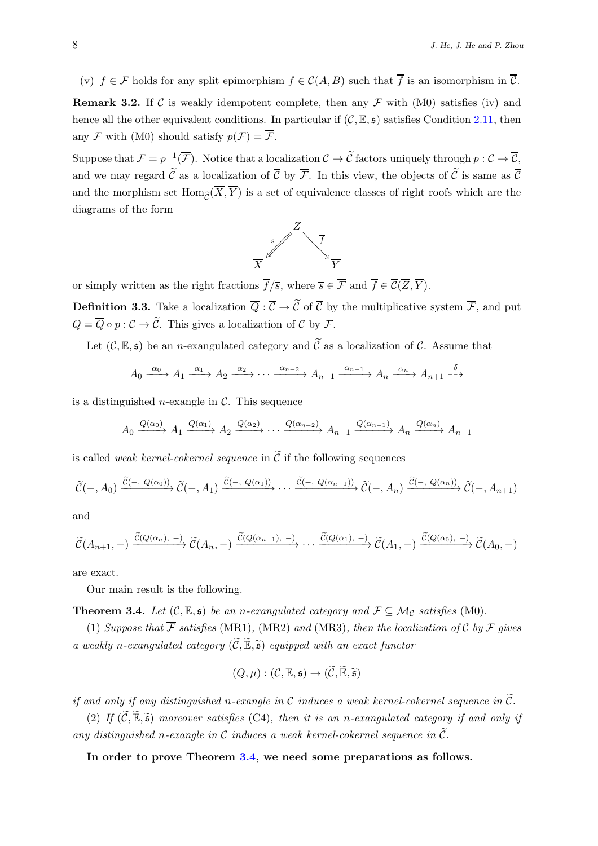(v)  $f \in \mathcal{F}$  holds for any split epimorphism  $f \in \mathcal{C}(A, B)$  such that  $\overline{f}$  is an isomorphism in  $\overline{\mathcal{C}}$ . **Remark 3.2.** If C is weakly idempotent complete, then any  $\mathcal F$  with (M0) satisfies (iv) and hence all the other equivalent conditions. In particular if  $(C, \mathbb{E}, \mathfrak{s})$  satisfies Condition [2.11,](#page-5-1) then any  $\mathcal F$  with (M0) should satisfy  $p(\mathcal F) = \overline{\mathcal F}$ .

Suppose that  $\mathcal{F} = p^{-1}(\overline{\mathcal{F}})$ . Notice that a localization  $\mathcal{C} \to \overline{\mathcal{C}}$  factors uniquely through  $p: \mathcal{C} \to \overline{\mathcal{C}}$ , and we may regard  $\tilde{\mathcal{C}}$  as a localization of  $\overline{\mathcal{C}}$  by  $\overline{\mathcal{F}}$ . In this view, the objects of  $\tilde{\mathcal{C}}$  is same as  $\overline{\mathcal{C}}$ and the morphism set  $\text{Hom}_{\widetilde{\mathcal{O}}(\overline{X}, \overline{Y})}$  is a set of equivalence classes of right roofs which are the diagrams of the form



or simply written as the right fractions  $\overline{f}/\overline{s}$ , where  $\overline{s} \in \overline{\mathcal{F}}$  and  $\overline{f} \in \overline{\mathcal{C}}(\overline{Z}, \overline{Y})$ .

**Definition 3.3.** Take a localization  $\overline{Q}$ :  $\overline{C}$   $\rightarrow$   $\widetilde{C}$  of  $\overline{C}$  by the multiplicative system  $\overline{\mathcal{F}}$ , and put  $Q = \overline{Q} \circ p : C \to \widetilde{C}$ . This gives a localization of C by F.

Let  $(C, \mathbb{E}, \mathfrak{s})$  be an *n*-exangulated category and  $\widetilde{C}$  as a localization of C. Assume that

$$
A_0 \xrightarrow{\alpha_0} A_1 \xrightarrow{\alpha_1} A_2 \xrightarrow{\alpha_2} \cdots \xrightarrow{\alpha_{n-2}} A_{n-1} \xrightarrow{\alpha_{n-1}} A_n \xrightarrow{\alpha_n} A_{n+1} \xrightarrow{\delta}
$$

is a distinguished *n*-exangle in  $\mathcal{C}$ . This sequence

$$
A_0 \xrightarrow{Q(\alpha_0)} A_1 \xrightarrow{Q(\alpha_1)} A_2 \xrightarrow{Q(\alpha_2)} \cdots \xrightarrow{Q(\alpha_{n-2})} A_{n-1} \xrightarrow{Q(\alpha_{n-1})} A_n \xrightarrow{Q(\alpha_n)} A_{n+1}
$$

is called *weak kernel-cokernel sequence* in  $\tilde{C}$  if the following sequences

$$
\widetilde{\mathcal{C}}(-, A_0) \xrightarrow{\widetilde{\mathcal{C}}(-, Q(\alpha_0))} \widetilde{\mathcal{C}}(-, A_1) \xrightarrow{\widetilde{\mathcal{C}}(-, Q(\alpha_1))} \cdots \xrightarrow{\widetilde{\mathcal{C}}(-, Q(\alpha_{n-1}))} \widetilde{\mathcal{C}}(-, A_n) \xrightarrow{\widetilde{\mathcal{C}}(-, Q(\alpha_n))} \widetilde{\mathcal{C}}(-, A_{n+1})
$$

and

$$
\widetilde{\mathcal{C}}(A_{n+1},-)\xrightarrow{\widetilde{\mathcal{C}}(Q(\alpha_n),\,-)}\widetilde{\mathcal{C}}(A_n,-)\xrightarrow{\widetilde{\mathcal{C}}(Q(\alpha_{n-1}),\,-)}\cdots\xrightarrow{\widetilde{\mathcal{C}}(Q(\alpha_1),\,-)}\widetilde{\mathcal{C}}(A_1,-)\xrightarrow{\widetilde{\mathcal{C}}(Q(\alpha_0),\,-)}\widetilde{\mathcal{C}}(A_0,-)
$$

are exact.

Our main result is the following.

<span id="page-7-0"></span>**Theorem 3.4.** Let  $(C, \mathbb{E}, \mathfrak{s})$  be an n-exangulated category and  $\mathcal{F} \subseteq \mathcal{M}_{\mathcal{C}}$  satisfies (M0).

(1) Suppose that  $\overline{\mathcal{F}}$  satisfies (MR1), (MR2) and (MR3), then the localization of C by F gives a weakly n-exangulated category  $(\widetilde{C}, \widetilde{\mathbb{E}}, \widetilde{\mathfrak{s}})$  equipped with an exact functor

$$
(Q,\mu): (\mathcal{C}, \mathbb{E}, \mathfrak{s}) \to (\widetilde{\mathcal{C}}, \widetilde{\mathbb{E}}, \widetilde{\mathfrak{s}})
$$

if and only if any distinguished n-exangle in C induces a weak kernel-cokernel sequence in  $\tilde{C}$ .

(2) If  $(\widetilde{C}, \widetilde{\mathbb{E}}, \widetilde{\mathfrak{s}})$  moreover satisfies (C4), then it is an n-exangulated category if and only if any distinguished n-exangle in C induces a weak kernel-cokernel sequence in  $\tilde{C}$ .

### In order to prove Theorem [3.4,](#page-7-0) we need some preparations as follows.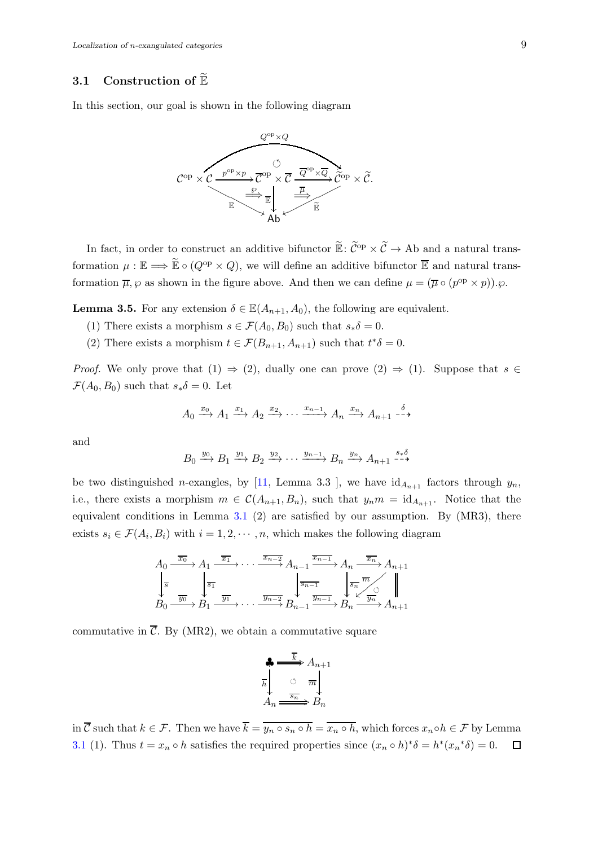### 3.1 Construction of  $\mathbb{\tilde{E}}$

In this section, our goal is shown in the following diagram



In fact, in order to construct an additive bifunctor  $\mathbb{E}: \widetilde{\mathcal{C}}^{op} \times \widetilde{\mathcal{C}} \to \text{Ab}$  and a natural transformation  $\mu : \mathbb{E} \Longrightarrow \widetilde{\mathbb{E}} \circ (Q^{\text{op}} \times Q)$ , we will define an additive bifunctor  $\overline{\mathbb{E}}$  and natural transformation  $\overline{\mu}$ ,  $\varphi$  as shown in the figure above. And then we can define  $\mu = (\overline{\mu} \circ (p^{\text{op}} \times p))$ .

<span id="page-8-0"></span>**Lemma 3.5.** For any extension  $\delta \in \mathbb{E}(A_{n+1}, A_0)$ , the following are equivalent.

- (1) There exists a morphism  $s \in \mathcal{F}(A_0, B_0)$  such that  $s_*\delta = 0$ .
- (2) There exists a morphism  $t \in \mathcal{F}(B_{n+1}, A_{n+1})$  such that  $t^*\delta = 0$ .

*Proof.* We only prove that  $(1) \Rightarrow (2)$ , dually one can prove  $(2) \Rightarrow (1)$ . Suppose that  $s \in$  $\mathcal{F}(A_0, B_0)$  such that  $s_*\delta = 0$ . Let

$$
A_0 \xrightarrow{x_0} A_1 \xrightarrow{x_1} A_2 \xrightarrow{x_2} \cdots \xrightarrow{x_{n-1}} A_n \xrightarrow{x_n} A_{n+1} \xrightarrow{\delta}
$$

and

$$
B_0 \xrightarrow{y_0} B_1 \xrightarrow{y_1} B_2 \xrightarrow{y_2} \cdots \xrightarrow{y_{n-1}} B_n \xrightarrow{y_n} A_{n+1} \xrightarrow{s \ast \delta}
$$

be two distinguished *n*-exangles, by [\[11,](#page-19-9) Lemma 3.3 ], we have  $id_{A_{n+1}}$  factors through  $y_n$ , i.e., there exists a morphism  $m \in \mathcal{C}(A_{n+1}, B_n)$ , such that  $y_n m = \mathrm{id}_{A_{n+1}}$ . Notice that the equivalent conditions in Lemma  $3.1$  (2) are satisfied by our assumption. By (MR3), there exists  $s_i \in \mathcal{F}(A_i, B_i)$  with  $i = 1, 2, \dots, n$ , which makes the following diagram

$$
A_0 \xrightarrow{\overline{x_0}} A_1 \xrightarrow{\overline{x_1}} \cdots \xrightarrow{\overline{x_{n-2}}} A_{n-1} \xrightarrow{\overline{x_{n-1}}} A_n \xrightarrow{\overline{x_n}} A_{n+1}
$$
  

$$
\downarrow_{\overline{s}} \qquad \downarrow_{\overline{s_0}} \qquad \downarrow_{\overline{s_1}} \qquad \downarrow_{\overline{s_{n-1}}} \qquad \downarrow_{\overline{s_n}} \qquad \downarrow_{\overline{s_n}} \qquad \downarrow_{\overline{s_n}} \qquad \downarrow_{\overline{s_n}} \qquad \downarrow_{\overline{s_n}} \qquad \downarrow_{\overline{s_n}} \qquad \downarrow_{\overline{s_n}} \qquad \downarrow_{\overline{s_n}} \qquad \downarrow_{\overline{s_n}} \qquad \downarrow_{\overline{s_n}} \qquad \downarrow_{\overline{s_n}} \qquad \downarrow_{\overline{s_n}} \qquad \downarrow_{\overline{s_n}} \qquad \downarrow_{\overline{s_n}} \qquad \downarrow_{\overline{s_n}} \qquad \downarrow_{\overline{s_n}} \qquad \downarrow_{\overline{s_n}} \qquad \downarrow_{\overline{s_n}} \qquad \downarrow_{\overline{s_n}} \qquad \downarrow_{\overline{s_n}} \qquad \downarrow_{\overline{s_n}} \qquad \downarrow_{\overline{s_n}} \qquad \downarrow_{\overline{s_n}} \qquad \downarrow_{\overline{s_n}} \qquad \downarrow_{\overline{s_n}} \qquad \downarrow_{\overline{s_n}} \qquad \downarrow_{\overline{s_n}} \qquad \downarrow_{\overline{s_n}} \qquad \downarrow_{\overline{s_n}} \qquad \downarrow_{\overline{s_n}} \qquad \downarrow_{\overline{s_n}} \qquad \downarrow_{\overline{s_n}} \qquad \downarrow_{\overline{s_n}} \qquad \downarrow_{\overline{s_n}} \qquad \downarrow_{\overline{s_n}} \qquad \downarrow_{\overline{s_n}} \qquad \downarrow_{\overline{s_n}} \qquad \downarrow_{\overline{s_n}} \qquad \downarrow_{\overline{s_n}} \qquad \downarrow_{\overline{s_n}} \qquad \downarrow_{\overline{s_n}} \qquad \downarrow_{\overline{s_n}} \qquad \downarrow_{\overline{s_n}} \qquad \downarrow_{\overline{s_n}} \qquad \downarrow_{\overline{s_n}} \qquad \downarrow_{\overline{s_n}} \qquad \downarrow_{\overline{s_n}} \qquad \downarrow_{\overline{s
$$

commutative in  $\overline{\mathcal{C}}$ . By (MR2), we obtain a commutative square

$$
\begin{array}{c}\n\clubsuit \xrightarrow{\overline{k}} A_{n+1} \\
\overline{h} \downarrow \qquad \circ \quad \overline{m} \downarrow \\
A_n \xrightarrow{\overline{sn}} B_n\n\end{array}
$$

in  $\overline{\mathcal{C}}$  such that  $k \in \mathcal{F}$ . Then we have  $\overline{k} = \overline{y_n \circ s_n \circ h} = \overline{x_n \circ h}$ , which forces  $x_n \circ h \in \mathcal{F}$  by Lemma [3.1](#page-6-0) (1). Thus  $t = x_n \circ h$  satisfies the required properties since  $(x_n \circ h)^* \delta = h^*(x_n^* \delta) = 0$ .  $\Box$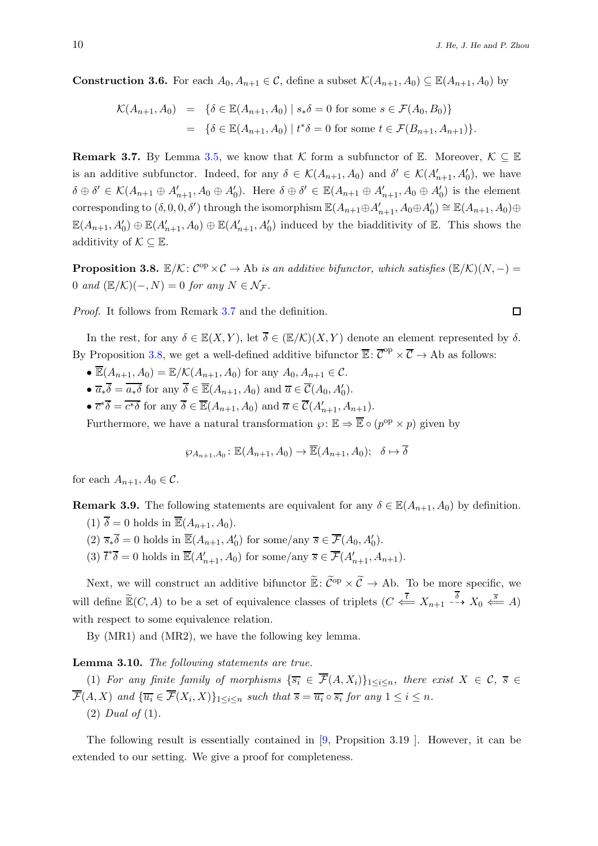**Construction 3.6.** For each  $A_0, A_{n+1} \in \mathcal{C}$ , define a subset  $\mathcal{K}(A_{n+1}, A_0) \subseteq \mathbb{E}(A_{n+1}, A_0)$  by

$$
\mathcal{K}(A_{n+1}, A_0) = \{ \delta \in \mathbb{E}(A_{n+1}, A_0) \mid s_*\delta = 0 \text{ for some } s \in \mathcal{F}(A_0, B_0) \}
$$
  
= 
$$
\{ \delta \in \mathbb{E}(A_{n+1}, A_0) \mid t^*\delta = 0 \text{ for some } t \in \mathcal{F}(B_{n+1}, A_{n+1}) \}.
$$

<span id="page-9-0"></span>**Remark 3.7.** By Lemma [3.5,](#page-8-0) we know that K form a subfunctor of E. Moreover,  $K \subseteq \mathbb{E}$ is an additive subfunctor. Indeed, for any  $\delta \in \mathcal{K}(A_{n+1}, A_0)$  and  $\delta' \in \mathcal{K}(A'_{n+1}, A'_0)$ , we have  $\delta \oplus \delta' \in \mathcal{K}(A_{n+1} \oplus A'_{n+1}, A_0 \oplus A'_0)$ . Here  $\delta \oplus \delta' \in \mathbb{E}(A_{n+1} \oplus A'_{n+1}, A_0 \oplus A'_0)$  is the element corresponding to  $(\delta, 0, 0, \delta')$  through the isomorphism  $\mathbb{E}(A_{n+1}\oplus A'_{n+1}, A_0\oplus A'_0) \cong \mathbb{E}(A_{n+1}, A_0)\oplus A'_0$  $\mathbb{E}(A_{n+1}, A'_0) \oplus \mathbb{E}(A'_{n+1}, A_0) \oplus \mathbb{E}(A'_{n+1}, A'_0)$  induced by the biadditivity of  $\mathbb{E}$ . This shows the additivity of  $\mathcal{K} \subseteq \mathbb{E}$ .

<span id="page-9-1"></span>**Proposition 3.8.**  $\mathbb{E}/\mathcal{K}$ :  $C^{op} \times C \to$  Ab is an additive bifunctor, which satisfies  $(\mathbb{E}/\mathcal{K})(N,-) =$ 0 and  $(\mathbb{E}/\mathcal{K})(-, N) = 0$  for any  $N \in \mathcal{N}_{\mathcal{F}}$ .

Proof. It follows from Remark [3.7](#page-9-0) and the definition.

In the rest, for any  $\delta \in \mathbb{E}(X, Y)$ , let  $\overline{\delta} \in (\mathbb{E}/\mathcal{K})(X, Y)$  denote an element represented by  $\delta$ . By Proposition [3.8,](#page-9-1) we get a well-defined additive bifunctor  $\overline{\mathbb{E}}\colon \overline{\mathcal{C}}^{\text{op}} \times \overline{\mathcal{C}} \to \text{Ab}$  as follows:

- $\overline{\mathbb{E}}(A_{n+1}, A_0) = \mathbb{E}/\mathcal{K}(A_{n+1}, A_0)$  for any  $A_0, A_{n+1} \in \mathcal{C}$ .
- $\overline{a}_*\overline{\delta} = \overline{a_*\delta}$  for any  $\overline{\delta} \in \overline{\mathbb{E}}(A_{n+1}, A_0)$  and  $\overline{a} \in \overline{\mathcal{C}}(A_0, A'_0)$ .
- $\overline{c}^*\overline{\delta} = \overline{c^*\delta}$  for any  $\overline{\delta} \in \overline{\mathbb{E}}(A_{n+1}, A_0)$  and  $\overline{a} \in \overline{\mathcal{C}}(A'_{n+1}, A_{n+1})$ .

Furthermore, we have a natural transformation  $\varphi : \mathbb{E} \Rightarrow \overline{\mathbb{E}} \circ (p^{\text{op}} \times p)$  given by

$$
\wp_{A_{n+1},A_0} : \mathbb{E}(A_{n+1},A_0) \to \overline{\mathbb{E}}(A_{n+1},A_0); \quad \delta \mapsto \overline{\delta}
$$

for each  $A_{n+1}$ ,  $A_0 \in \mathcal{C}$ .

<span id="page-9-3"></span>**Remark 3.9.** The following statements are equivalent for any  $\delta \in \mathbb{E}(A_{n+1}, A_0)$  by definition.

- (1)  $\overline{\delta} = 0$  holds in  $\overline{\mathbb{E}}(A_{n+1}, A_0)$ .
- (2)  $\overline{s_*\delta} = 0$  holds in  $\overline{\mathbb{E}}(A_{n+1}, A'_0)$  for some/any  $\overline{s} \in \overline{\mathcal{F}}(A_0, A'_0)$ .
- (3)  $\overline{t}^*\overline{\delta} = 0$  holds in  $\overline{\mathbb{E}}(A'_{n+1}, A_0)$  for some/any  $\overline{s} \in \overline{\mathcal{F}}(A'_{n+1}, A_{n+1})$ .

Next, we will construct an additive bifunctor  $\widetilde{\mathbb{E}}$ :  $\widetilde{\mathcal{C}}^{\text{op}} \times \widetilde{\mathcal{C}} \to A\text{b}$ . To be more specific, we will define  $\widetilde{\mathbb{E}}(C, A)$  to be a set of equivalence classes of triplets  $(C \stackrel{\overline{t}}{\iff} X_{n+1} \stackrel{\delta}{\dashrightarrow} X_0 \stackrel{\overline{s}}{\iff} A)$ with respect to some equivalence relation.

By (MR1) and (MR2), we have the following key lemma.

<span id="page-9-2"></span>Lemma 3.10. The following statements are true.

(1) For any finite family of morphisms  $\{\overline{s_i} \in \overline{\mathcal{F}}(A,X_i)\}_{1\leq i\leq n}$ , there exist  $X \in \mathcal{C}$ ,  $\overline{s} \in \mathcal{C}$  $\mathcal{F}(A, X)$  and  $\{\overline{u_i} \in \mathcal{F}(X_i, X)\}_{1 \leq i \leq n}$  such that  $\overline{s} = \overline{u_i} \circ \overline{s_i}$  for any  $1 \leq i \leq n$ . (2) Dual of (1).

The following result is essentially contained in [\[9,](#page-19-4) Propsition 3.19 ]. However, it can be extended to our setting. We give a proof for completeness.

$$
\Box
$$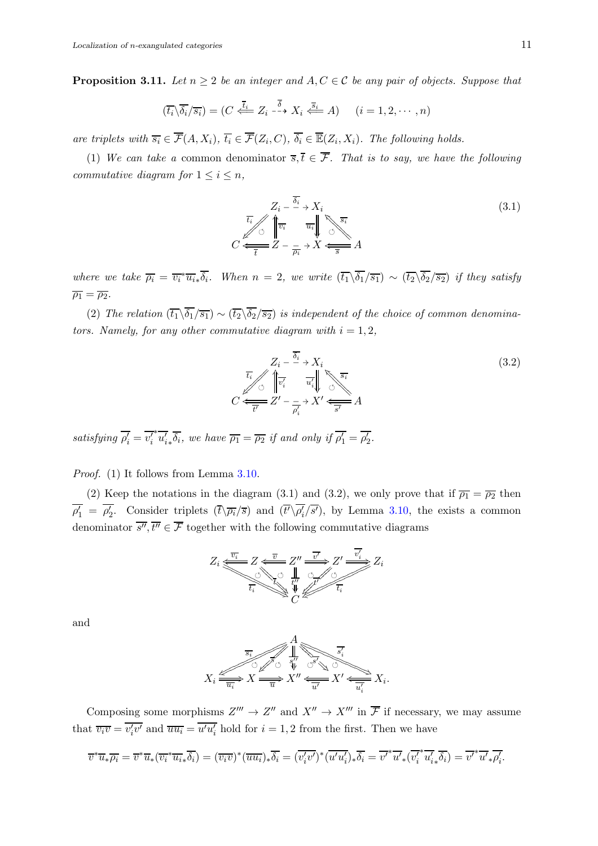<span id="page-10-0"></span>**Proposition 3.11.** Let  $n \geq 2$  be an integer and  $A, C \in \mathcal{C}$  be any pair of objects. Suppose that

$$
(\overline{t_i}\backslash \overline{\delta_i}/\overline{s_i}) = (C \stackrel{\overline{t_i}}{\iff} Z_i \stackrel{\overline{\delta}}{\dashrightarrow} X_i \stackrel{\overline{s_i}}{\iff} A) \qquad (i = 1, 2, \cdots, n)
$$

are triplets with  $\overline{s_i} \in \overline{\mathcal{F}}(A, X_i)$ ,  $\overline{t_i} \in \overline{\mathcal{F}}(Z_i, C)$ ,  $\overline{\delta_i} \in \overline{\mathbb{E}}(Z_i, X_i)$ . The following holds.

(1) We can take a common denominator  $\overline{s},\overline{t} \in \overline{\mathcal{F}}$ . That is to say, we have the following commutative diagram for  $1 \leq i \leq n$ ,

$$
Z_i - \frac{\overline{\delta_i}}{\overline{\delta_i}} \to X_i
$$
\n
$$
C \xleftarrow{\overline{t_i}} \begin{array}{c} \overline{\delta_i} \\ \overline{v_i} \\ \overline{t} \end{array} \xrightarrow{\overline{u_i}} \begin{array}{c} \overline{s_i} \\ \overline{v_i} \\ \overline{v} \end{array} \right)
$$
\n
$$
C \xleftarrow{\overline{t}} Z - \frac{1}{\overline{\rho_i}} \to X \xleftarrow{\overline{s}} A
$$
\n
$$
(3.1)
$$

where we take  $\overline{\rho_i} = \overline{v_i}^* \overline{u_i} \overline{\delta_i}$ . When  $n = 2$ , we write  $(\overline{t_1} \backslash \overline{\delta_1}/\overline{s_1}) \sim (\overline{t_2} \backslash \overline{\delta_2}/\overline{s_2})$  if they satisfy  $\overline{\rho_1} = \overline{\rho_2}.$ 

(2) The relation  $(\overline{t_1}\backslash \overline{\delta_1}/\overline{s_1}) \sim (\overline{t_2}\backslash \overline{\delta_2}/\overline{s_2})$  is independent of the choice of common denominators. Namely, for any other commutative diagram with  $i = 1, 2$ ,

$$
Z_i - \frac{\overline{\delta_i}}{\overline{\delta_i}} \to X_i
$$
  

$$
C \xleftarrow{\overline{t_i}} \left\{ \overline{v_i'} \quad \overline{u_i'} \right\} \times \overline{S_i}
$$
  

$$
C \xleftarrow{\overline{t'}} Z' - \frac{1}{\overline{\rho_i'}} \to X' \xleftarrow{\overline{S'}} A
$$
 (3.2)

satisfying  $\overline{\rho_i'} = \overline{v_i'}$  $*\overline{u'_{i*}}\overline{\delta_{i}}$ , we have  $\overline{\rho_1} = \overline{\rho_2}$  if and only if  $\overline{\rho'_1} = \overline{\rho'_2}$ .

Proof. (1) It follows from Lemma [3.10.](#page-9-2)

(2) Keep the notations in the diagram (3.1) and (3.2), we only prove that if  $\overline{\rho_1} = \overline{\rho_2}$  then  $\overline{\rho'_1} = \overline{\rho'_2}$ . Consider triplets  $(\overline{t}\backslash \overline{\rho_i}/\overline{s})$  and  $(\overline{t'}\backslash \overline{\rho'_i}/\overline{s'})$ , by Lemma [3.10,](#page-9-2) the exists a common denominator  $\overline{s''}, \overline{t''} \in \overline{\mathcal{F}}$  together with the following commutative diagrams



and

$$
X_i \xrightarrow{\overline{s_i} \qquad \qquad } X \xrightarrow{\overline{a_i} \qquad \qquad } X \xrightarrow{\overline{a_i} \qquad \qquad } X'' \xleftarrow{\overline{a_i} \qquad \qquad } X' \xleftarrow{\overline{a_i} \qquad \qquad } X' \xleftarrow{\overline{a_i} \qquad \qquad } X_i.
$$

Composing some morphisms  $Z''' \to Z''$  and  $X'' \to X'''$  in  $\overline{\mathcal{F}}$  if necessary, we may assume that  $\overline{v_i v} = \overline{v'_i v'}$  and  $\overline{u u_i} = \overline{u' u'_i}$  hold for  $i = 1, 2$  from the first. Then we have

$$
\overline{v}^* \overline{u}_* \overline{\rho_i} = \overline{v}^* \overline{u}_* (\overline{v_i}^* \overline{u_i}_* \overline{\delta_i}) = (\overline{v_i v})^* (\overline{u u_i})_* \overline{\delta_i} = (\overline{v'_i v'})^* (\overline{u' u'_i})_* \overline{\delta_i} = \overline{v'}^* \overline{u'}_* (\overline{v'_i}^* \overline{u'_i}_* \overline{\delta_i}) = \overline{v'}^* \overline{u'}_* \overline{\rho'_i}.
$$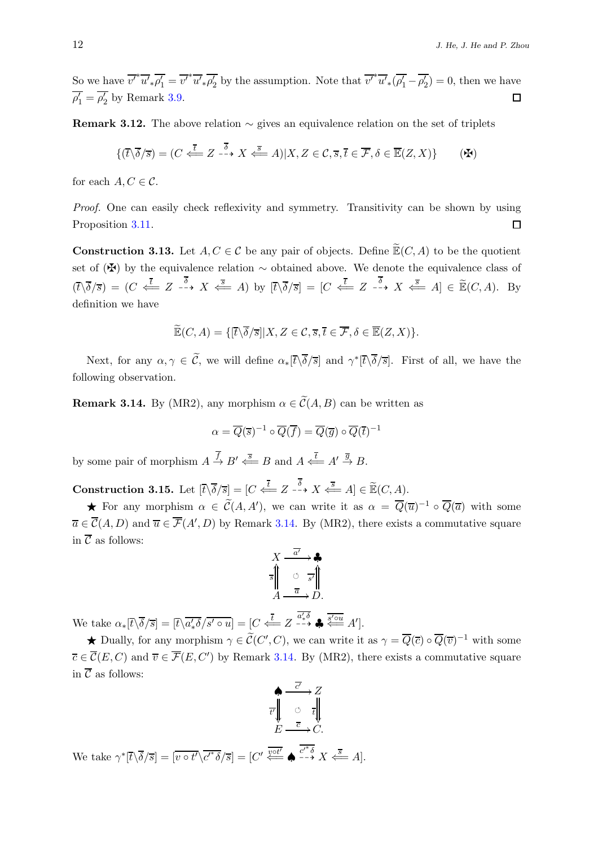So we have  $\overline{v'^*} \overline{u'_{*} \rho'_1} = \overline{v'^*} \overline{u'_{*} \rho'_2}$  by the assumption. Note that  $\overline{v'^*} \overline{u'_{*} (\rho'_1 - \rho'_2)} = 0$ , then we have  $\overline{\rho'_1} = \overline{\rho'_2}$  by Remark [3.9.](#page-9-3)  $\Box$ 

Remark 3.12. The above relation  $\sim$  gives an equivalence relation on the set of triplets

$$
\{(\overline{t}\backslash\overline{\delta}/\overline{s})=(C\stackrel{\overline{t}}{\Longleftarrow} Z\stackrel{\overline{\delta}}{\dashrightarrow} X\stackrel{\overline{s}}{\Longleftarrow} A)|X,Z\in\mathcal{C},\overline{s},\overline{t}\in\overline{\mathcal{F}},\delta\in\overline{\mathbb{E}}(Z,X)\}\qquad(\mathbf{A})
$$

for each  $A, C \in \mathcal{C}$ .

Proof. One can easily check reflexivity and symmetry. Transitivity can be shown by using Proposition [3.11.](#page-10-0)  $\Box$ 

**Construction 3.13.** Let  $A, C \in \mathcal{C}$  be any pair of objects. Define  $\widetilde{\mathbb{E}}(C, A)$  to be the quotient set of ( $\mathbf{\ddot{F}}$ ) by the equivalence relation  $\sim$  obtained above. We denote the equivalence class of  $(\bar{t}\backslash\bar{\delta}/\bar{s}) = (C \stackrel{\bar{t}}{\Longleftarrow} Z \stackrel{\delta}{\longrightarrow} X \stackrel{\bar{s}}{\Longleftarrow} A)$  by  $[\bar{t}\backslash\bar{\delta}/\bar{s}] = [C \stackrel{\bar{t}}{\Longleftarrow} Z \stackrel{\delta}{\longrightarrow} X \stackrel{\bar{s}}{\Longleftarrow} A] \in \widetilde{\mathbb{E}}(C, A)$ . By definition we have

$$
\widetilde{\mathbb{E}}(C, A) = \{ [\overline{t} \setminus \overline{\delta}/\overline{s}] | X, Z \in \mathcal{C}, \overline{s}, \overline{t} \in \overline{\mathcal{F}}, \delta \in \overline{\mathbb{E}}(Z, X) \}.
$$

Next, for any  $\alpha, \gamma \in \tilde{C}$ , we will define  $\alpha_*[\bar{t}\backslash \bar{\delta}/\bar{s}]$  and  $\gamma^*[\bar{t}\backslash \bar{\delta}/\bar{s}]$ . First of all, we have the following observation.

<span id="page-11-0"></span>**Remark 3.14.** By (MR2), any morphism  $\alpha \in \widetilde{C}(A, B)$  can be written as

$$
\alpha = \overline{Q}(\overline{s})^{-1} \circ \overline{Q}(\overline{f}) = \overline{Q}(\overline{g}) \circ \overline{Q}(\overline{t})^{-1}
$$

by some pair of morphism  $A \stackrel{f}{\to} B' \stackrel{\overline{s}}{\rightleftharpoons} B$  and  $A \stackrel{\overline{t}}{\leftarrow} A' \stackrel{\overline{g}}{\to} B$ .

<span id="page-11-1"></span>**Construction 3.15.** Let  $[\bar{t}\setminus \bar{\delta}/\bar{s}] = [C \stackrel{\bar{t}}{\iff} Z \stackrel{\delta}{\dashrightarrow} X \stackrel{\bar{s}}{\iff} A] \in \widetilde{\mathbb{E}}(C, A).$ 

**★** For any morphism  $\alpha \in \widetilde{C}(A, A')$ , we can write it as  $\alpha = \overline{Q}(\overline{u})^{-1} \circ \overline{Q}(\overline{a})$  with some  $\overline{a} \in \overline{\mathcal{C}}(A, D)$  and  $\overline{u} \in \overline{\mathcal{F}}(A', D)$  by Remark [3.14.](#page-11-0) By (MR2), there exists a commutative square in  $\overline{\mathcal{C}}$  as follows:

$$
X \xrightarrow{\overline{a'}} \mathbf{A}
$$
\n
$$
\overline{s} \parallel \overline{\bigcirc} \overline{s'} \parallel
$$
\n
$$
A \xrightarrow{\overline{a}} D.
$$

We take  $\alpha_*[\bar{t}\backslash\overline{\delta}/\bar{s}] = [\bar{t}\backslash\overline{a'_* \delta}/\bar{s'} \circ u] = [C \stackrel{\overline{t}}{\iff} Z \stackrel{\overline{a'_* \delta}}{\longrightarrow} \clubsuit \stackrel{\overline{s' \circ u}}{\iff} A'].$ 

**★** Dually, for any morphism  $\gamma \in \tilde{C}(C', C)$ , we can write it as  $\gamma = \overline{Q}(\overline{c}) \circ \overline{Q}(\overline{v})^{-1}$  with some  $\overline{c} \in \overline{\mathcal{C}}(E, C)$  and  $\overline{v} \in \overline{\mathcal{F}}(E, C')$  by Remark [3.14.](#page-11-0) By (MR2), there exists a commutative square in  $\overline{\mathcal{C}}$  as follows:

$$
\begin{array}{ccc}\n\bullet & \xrightarrow{\overline{c'}} & Z \\
\uparrow & & \circ & \overline{t} \\
E & \xrightarrow{\overline{c}} & C.\n\end{array}
$$

We take  $\gamma^*[\bar{t}\backslash\bar{\delta}/\bar{s}] = [\overline{v \circ t'}\backslash \overline{c'^*\delta}/\bar{s}] = [C' \stackrel{\overline{v \circ t'}}{\overline{\cdots}} \bullet \stackrel{\overline{c'^*\delta}}{\overline{-\bullet}} X \stackrel{\overline{s}}{\leftarrow} A].$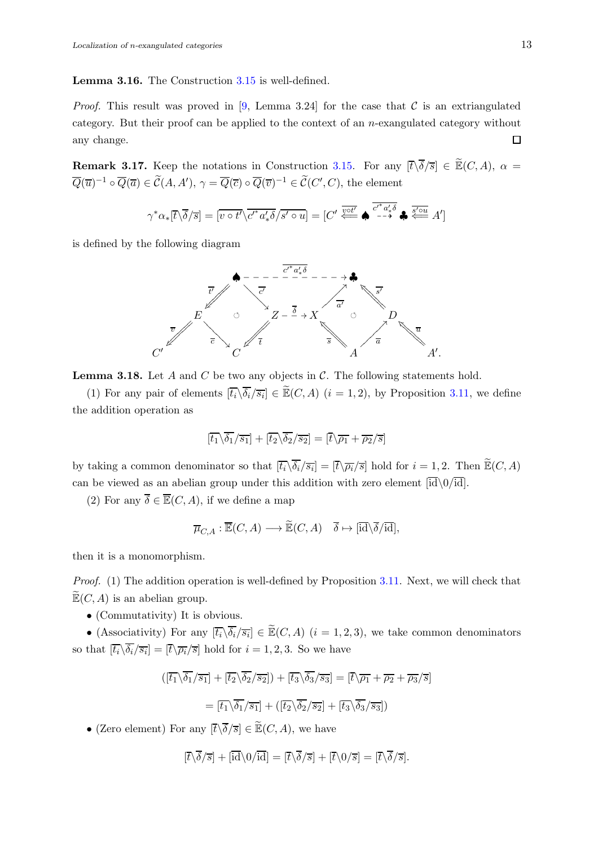Lemma 3.16. The Construction [3.15](#page-11-1) is well-defined.

*Proof.* This result was proved in [\[9,](#page-19-4) Lemma 3.24] for the case that C is an extriangulated category. But their proof can be applied to the context of an n-exangulated category without any change.  $\Box$ 

**Remark 3.17.** Keep the notations in Construction [3.15.](#page-11-1) For any  $[\bar{t}\setminus \bar{\delta}/\bar{s}] \in \widetilde{\mathbb{E}}(C, A), \alpha =$  $\overline{Q}(\overline{u})^{-1} \circ \overline{Q}(\overline{a}) \in \mathcal{C}(A, A'), \gamma = \overline{Q}(\overline{c}) \circ \overline{Q}(\overline{v})^{-1} \in \mathcal{C}(C', C)$ , the element

$$
\gamma^* \alpha_*[\overline{t} \setminus \overline{\delta}/\overline{s}] = [\overline{v \circ t'} \setminus \overline{c'^* a'_* \delta}/\overline{s' \circ u}] = [C' \stackrel{\overline{v \circ t'}}{\Longleftarrow} \spadesuit \stackrel{\overline{c'^* a'_* \delta}}{\longrightarrow} \clubsuit \stackrel{\overline{s' \circ u}}{\Longleftarrow} A']
$$

is defined by the following diagram



<span id="page-12-0"></span>**Lemma 3.18.** Let  $A$  and  $C$  be two any objects in  $C$ . The following statements hold.

(1) For any pair of elements  $[\overline{t_i} \setminus \overline{\delta_i}/\overline{s_i}] \in \widetilde{\mathbb{E}}(C, A)$   $(i = 1, 2)$ , by Proposition [3.11,](#page-10-0) we define the addition operation as

$$
[\overline{t_1} \backslash \overline{\delta_1}/\overline{s_1}] + [\overline{t_2} \backslash \overline{\delta_2}/\overline{s_2}] = [\overline{t} \backslash \overline{\rho_1} + \overline{\rho_2}/\overline{s}]
$$

by taking a common denominator so that  $[\overline{t_i} \setminus \overline{\delta_i}/\overline{s_i}] = [\overline{t} \setminus \overline{\rho_i}/\overline{s}]$  hold for  $i = 1, 2$ . Then  $\widetilde{\mathbb{E}}(C, A)$ can be viewed as an abelian group under this addition with zero element  $[\overline{id}\setminus 0/\overline{id}]$ .

(2) For any  $\overline{\delta} \in \overline{\mathbb{E}}(C, A)$ , if we define a map

$$
\overline{\mu}_{C,A} : \overline{\mathbb{E}}(C,A) \longrightarrow \widetilde{\mathbb{E}}(C,A) \quad \overline{\delta} \mapsto [\overline{\mathrm{id}}\backslash \overline{\delta}/\overline{\mathrm{id}}],
$$

then it is a monomorphism.

Proof. (1) The addition operation is well-defined by Proposition [3.11.](#page-10-0) Next, we will check that  $\mathbb{E}(C, A)$  is an abelian group.

• (Commutativity) It is obvious.

• (Associativity) For any  $[\overline{t_i} \setminus \overline{\delta_i}/\overline{s_i}] \in \widetilde{\mathbb{E}}(C, A)$   $(i = 1, 2, 3)$ , we take common denominators so that  $[\overline{t_i} \backslash \delta_i / \overline{s_i}] = [\overline{t} \backslash \overline{\rho_i} / \overline{s}]$  hold for  $i = 1, 2, 3$ . So we have

$$
\begin{aligned} \left( \left[ \overline{t_1} \backslash \overline{\delta_1} / \overline{s_1} \right] + \left[ \overline{t_2} \backslash \overline{\delta_2} / \overline{s_2} \right] \right) + \left[ \overline{t_3} \backslash \overline{\delta_3} / \overline{s_3} \right] &= \left[ \overline{t} \backslash \overline{\rho_1} + \overline{\rho_2} + \overline{\rho_3} / \overline{s} \right] \\ &= \left[ \overline{t_1} \backslash \overline{\delta_1} / \overline{s_1} \right] + \left( \left[ \overline{t_2} \backslash \overline{\delta_2} / \overline{s_2} \right] + \left[ \overline{t_3} \backslash \overline{\delta_3} / \overline{s_3} \right] \right) \end{aligned}
$$

• (Zero element) For any  $[\bar{t}\backslash \overline{\delta}/\overline{s}] \in \widetilde{\mathbb{E}}(C, A)$ , we have

$$
[\overline{t}\backslash\overline{\delta}/\overline{s}]+[\overline{\mathrm{id}}\backslash0/\overline{\mathrm{id}}]=[\overline{t}\backslash\overline{\delta}/\overline{s}]+[\overline{t}\backslash0/\overline{s}]=[\overline{t}\backslash\overline{\delta}/\overline{s}].
$$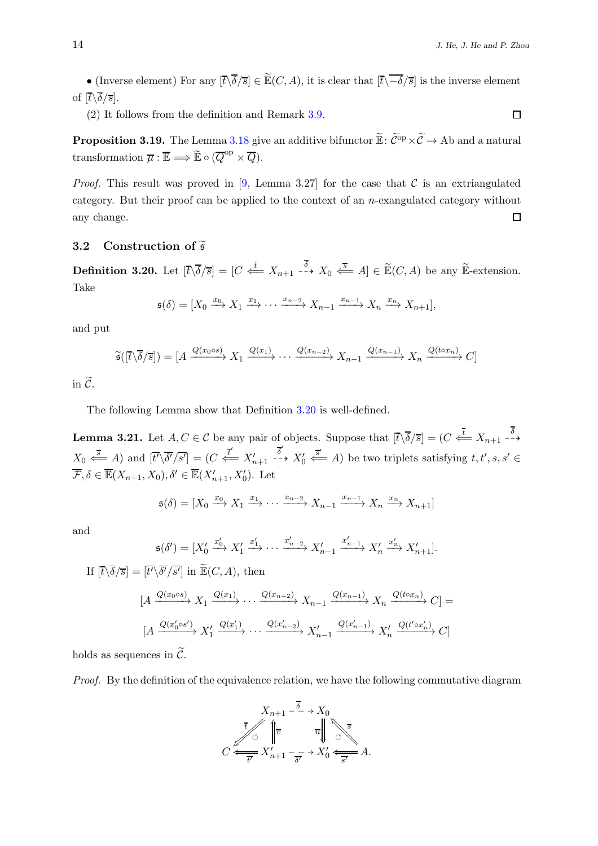• (Inverse element) For any  $[\bar{t}\backslash \overline{\delta}/\overline{s}] \in \widetilde{\mathbb{E}}(C, A)$ , it is clear that  $[\bar{t}\backslash \overline{-\delta}/\overline{s}]$  is the inverse element of  $[\overline{t}\backslash \overline{\delta}/\overline{s}]$ .

(2) It follows from the definition and Remark [3.9.](#page-9-3)

**Proposition 3.19.** The Lemma [3.18](#page-12-0) give an additive bifunctor  $\widetilde{\mathbb{E}}$ :  $\widetilde{\mathcal{C}}^{\text{op}} \times \widetilde{\mathcal{C}} \to A\text{b}$  and a natural transformation  $\overline{\mu} : \overline{\mathbb{E}} \Longrightarrow \widetilde{\mathbb{E}} \circ (\overline{Q}^{\text{op}} \times \overline{Q}).$ 

*Proof.* This result was proved in [\[9,](#page-19-4) Lemma 3.27] for the case that  $\mathcal C$  is an extriangulated category. But their proof can be applied to the context of an n-exangulated category without any change.  $\Box$ 

### 3.2 Construction of  $\widetilde{\mathfrak{s}}$

<span id="page-13-0"></span>**Definition 3.20.** Let  $[\bar{t}\setminus \bar{\delta}/\bar{s}] = [C \stackrel{\bar{t}}{\iff} X_{n+1} \stackrel{\delta}{\dashrightarrow} X_0 \stackrel{\bar{s}}{\iff} A] \in \widetilde{\mathbb{E}}(C, A)$  be any  $\widetilde{\mathbb{E}}$ -extension. Take

$$
\mathfrak{s}(\delta) = [X_0 \xrightarrow{x_0} X_1 \xrightarrow{x_1} \cdots \xrightarrow{x_{n-2}} X_{n-1} \xrightarrow{x_{n-1}} X_n \xrightarrow{x_n} X_{n+1}],
$$

and put

$$
\widetilde{\mathfrak{s}}([\overline{t}\backslash \overline{\delta}/\overline{s}]) = [A \xrightarrow{Q(x_0 \circ s)} X_1 \xrightarrow{Q(x_1)} \cdots \xrightarrow{Q(x_{n-2})} X_{n-1} \xrightarrow{Q(x_{n-1})} X_n \xrightarrow{Q(t \circ x_n)} C]
$$

in  $\widetilde{C}$ .

The following Lemma show that Definition [3.20](#page-13-0) is well-defined.

**Lemma 3.21.** Let  $A, C \in \mathcal{C}$  be any pair of objects. Suppose that  $[\overline{t} \setminus \overline{\delta}/\overline{s}] = (C \stackrel{\overline{t}}{\Longleftarrow} X_{n+1} \stackrel{\delta}{\longrightarrow}$  $X_0 \stackrel{\overline{s}}{\Longleftarrow} A$ ) and  $[\overline{t}^{\prime} \setminus \overline{\delta^{\prime}} / \overline{s^{\prime}}] = (C \stackrel{\overline{t}^{\prime}}{\Longleftarrow} X_{n+1}^{\prime})$ δ ′  $\stackrel{o}{\dashrightarrow} X'_0$  $\overline{\xi}$  A) be two triplets satisfying  $t, t', s, s' \in$  $\overline{\mathcal{F}}, \delta \in \overline{\mathbb{E}}(X_{n+1}, X_0), \delta' \in \overline{\mathbb{E}}(X'_{n+1}, X'_0)$ . Let

$$
\mathfrak{s}(\delta) = [X_0 \xrightarrow{x_0} X_1 \xrightarrow{x_1} \cdots \xrightarrow{x_{n-2}} X_{n-1} \xrightarrow{x_{n-1}} X_n \xrightarrow{x_n} X_{n+1}]
$$

and

$$
\mathfrak{s}(\delta') = [X'_0 \xrightarrow{x'_0} X'_1 \xrightarrow{x'_1} \cdots \xrightarrow{x'_{n-2}} X'_{n-1} \xrightarrow{x'_{n-1}} X'_n \xrightarrow{x'_n} X'_{n+1}].
$$

If 
$$
[\overline{t}\setminus \overline{\delta}/\overline{s}] = [\overline{t'}\setminus \overline{\delta'}/\overline{s'}]
$$
 in  $\widetilde{\mathbb{E}}(C, A)$ , then  
\n
$$
[A \xrightarrow{Q(x_0 \circ s)} X_1 \xrightarrow{Q(x_1)} \cdots \xrightarrow{Q(x_{n-2})} X_{n-1} \xrightarrow{Q(x_{n-1})} X_n \xrightarrow{Q(t \circ x_n)} C] =
$$
\n
$$
[A \xrightarrow{Q(x'_0 \circ s')} X'_1 \xrightarrow{Q(x'_1)} \cdots \xrightarrow{Q(x'_{n-2})} X'_{n-1} \xrightarrow{Q(x'_{n-1})} X'_n \xrightarrow{Q(t' \circ x'_n)} C]
$$

holds as sequences in  $\mathcal{C}$ .

Proof. By the definition of the equivalence relation, we have the following commutative diagram

 $X_{n+1}$ t  $\frac{1}{2}$  $\frac{1}{2}$ Õ  $\lambda_{k+1}$  –  $\stackrel{\delta}{\longrightarrow}$  $\overline{v}$  $X_{0}$ Õ  $\mathbb{Z}^{\mathbb{Z}}$  $\frac{1}{\sqrt{3}}$ ❅ ❅ ❅ ❅ ❅ ❅ ❅ u ŗ  $C \xleftarrow{\overline{t'}} X'_{n+1} - \xrightarrow{\overline{\delta'}} X'_0 \xleftarrow{\overline{s'}} A.$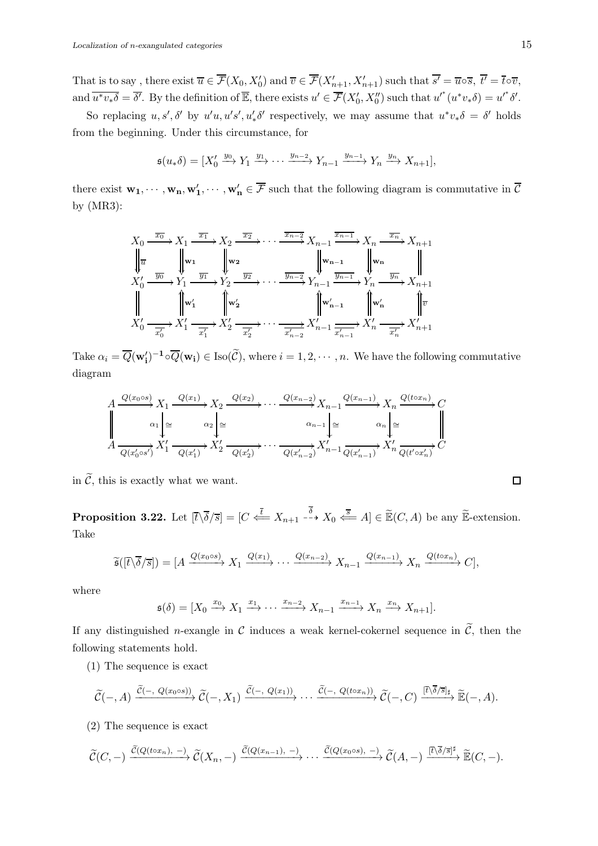That is to say, there exist  $\overline{u} \in \overline{\mathcal{F}}(X_0, X_0')$  and  $\overline{v} \in \overline{\mathcal{F}}(X'_{n+1}, X'_{n+1})$  such that  $\overline{s'} = \overline{u} \circ \overline{s}$ ,  $\overline{t'} = \overline{t} \circ \overline{v}$ , and  $\overline{u^*v_*\delta} = \overline{\delta'}$ . By the definition of  $\overline{\mathbb{E}}$ , there exists  $u' \in \overline{\mathcal{F}}(X'_0, X''_0)$  such that  $u'^*(u^*v_*\delta) = u'^*\delta'$ .

So replacing  $u, s', \delta'$  by  $u'u, u's', u'_* \delta'$  respectively, we may assume that  $u^*v_*\delta = \delta'$  holds from the beginning. Under this circumstance, for

$$
\mathfrak{s}(u_{*}\delta) = [X'_{0} \xrightarrow{y_{0}} Y_{1} \xrightarrow{y_{1}} \cdots \xrightarrow{y_{n-2}} Y_{n-1} \xrightarrow{y_{n-1}} Y_{n} \xrightarrow{y_{n}} X_{n+1}],
$$

there exist  $w_1, \dots, w_n, w'_1, \dots, w'_n \in \overline{\mathcal{F}}$  such that the following diagram is commutative in  $\overline{\mathcal{C}}$ by (MR3):

$$
X_0 \xrightarrow{\overline{x_0}} X_1 \xrightarrow{\overline{x_1}} X_2 \xrightarrow{\overline{x_2}} \cdots \xrightarrow{\overline{x_{n-2}}} X_{n-1} \xrightarrow{\overline{x_{n-1}}} X_n \xrightarrow{\overline{x_n}} X_{n+1}
$$
  
\n
$$
\Downarrow{\overline{u}}
$$
\n
$$
X'_0 \xrightarrow{\overline{y_0}} Y_1 \xrightarrow{\overline{y_1}} Y_2 \xrightarrow{\overline{y_2}} \cdots \xrightarrow{\overline{y_{n-2}}} Y_{n-1} \xrightarrow{\overline{y_{n-1}}} Y_n \xrightarrow{\overline{y_n}} X_{n+1}
$$
  
\n
$$
\Downarrow{\overline{w_n}}
$$
\n
$$
X'_0 \xrightarrow{\overline{x'_0}} X'_1 \xrightarrow{\overline{x'_1}} X'_2 \xrightarrow{\overline{x'_2}} \cdots \xrightarrow{\overline{x'_{n-2}}} X'_{n-1} \xrightarrow{\overline{x'_{n-1}}} X'_n \xrightarrow{\overline{x'_n}} X'_{n+1}
$$

Take  $\alpha_i = \overline{Q}(\mathbf{w}'_i)^{-1} \circ \overline{Q}(\mathbf{w}_i) \in \text{Iso}(\widetilde{\mathcal{C}})$ , where  $i = 1, 2, \cdots, n$ . We have the following commutative diagram

$$
A \xrightarrow{\overline{Q(x_0 \circ s)}} X_1 \xrightarrow{\overline{Q(x_1)}} X_2 \xrightarrow{\overline{Q(x_2)}} \cdots \xrightarrow{\overline{Q(x_{n-2})}} X_{n-1} \xrightarrow{\overline{Q(x_{n-1})}} X_n \xrightarrow{\overline{Q(t \circ x_n)}} C
$$
  

$$
A \xrightarrow{\alpha_1 \mid \cong} \alpha_2 \mid \cong \alpha_3 \mid \cong \alpha_{n-1} \mid \cong \alpha_n \mid \cong \alpha_n \mid \cong \alpha_n
$$
  

$$
A \xrightarrow{\overline{Q(x'_0 \circ s')}} X'_1 \xrightarrow{\overline{Q(x'_1)}} X'_2 \xrightarrow{\overline{Q(x'_2)}} \cdots \xrightarrow{\overline{Q(x'_{n-2})}} X'_{n-1} \xrightarrow{\overline{Q(x'_{n-1})}} X'_n \xrightarrow{\overline{Q(t' \circ x'_n)}} C
$$

in  $\widetilde{\mathcal{C}}$ , this is exactly what we want.

<span id="page-14-0"></span>**Proposition 3.22.** Let  $[\bar{t}\setminus \overline{\delta}/\bar{s}] = [C \stackrel{\bar{t}}{\Longleftarrow} X_{n+1} \stackrel{\delta}{\dashrightarrow} X_0 \stackrel{\bar{s}}{\Longleftarrow} A] \in \widetilde{\mathbb{E}}(C, A)$  be any  $\widetilde{\mathbb{E}}$ -extension. Take

$$
\widetilde{\mathfrak{s}}([\overline{t}\backslash \overline{\delta}/\overline{s}]) = [A \xrightarrow{Q(x_0 \circ s)} X_1 \xrightarrow{Q(x_1)} \cdots \xrightarrow{Q(x_{n-2})} X_{n-1} \xrightarrow{Q(x_{n-1})} X_n \xrightarrow{Q(t \circ x_n)} C],
$$

where

$$
\mathfrak{s}(\delta) = [X_0 \xrightarrow{x_0} X_1 \xrightarrow{x_1} \cdots \xrightarrow{x_{n-2}} X_{n-1} \xrightarrow{x_{n-1}} X_n \xrightarrow{x_n} X_{n+1}].
$$

If any distinguished *n*-exangle in  $\mathcal C$  induces a weak kernel-cokernel sequence in  $\tilde{\mathcal C}$ , then the following statements hold.

(1) The sequence is exact

$$
\widetilde{\mathcal{C}}(-,A) \xrightarrow{\widetilde{\mathcal{C}}(-, Q(x_0 \circ s))} \widetilde{\mathcal{C}}(-,X_1) \xrightarrow{\widetilde{\mathcal{C}}(-, Q(x_1))} \cdots \xrightarrow{\widetilde{\mathcal{C}}(-, Q(t \circ x_n))} \widetilde{\mathcal{C}}(-,C) \xrightarrow{[ \overline{t \setminus \overline{\delta}/s} ]_{\sharp}} \widetilde{\mathbb{E}}(-,A).
$$

(2) The sequence is exact

$$
\widetilde{\mathcal{C}}(C,-) \xrightarrow{\widetilde{\mathcal{C}}(Q(t\circ x_n), -)} \widetilde{\mathcal{C}}(X_n, -) \xrightarrow{\widetilde{\mathcal{C}}(Q(x_{n-1}), -)} \cdots \xrightarrow{\widetilde{\mathcal{C}}(Q(x_0 \circ s), -)} \widetilde{\mathcal{C}}(A,-) \xrightarrow{[\overline{t \setminus \delta / s}]^{\sharp}} \widetilde{\mathbb{E}}(C,-).
$$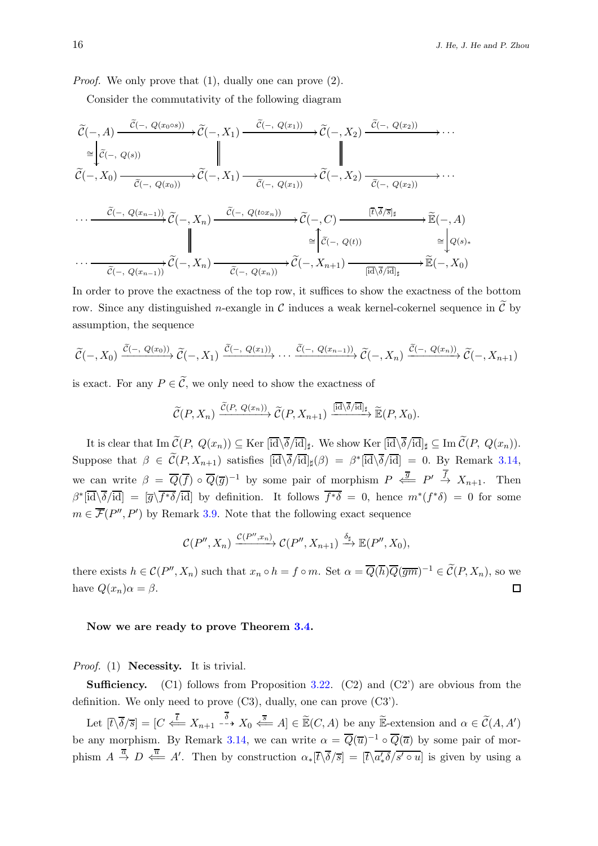*Proof.* We only prove that  $(1)$ , dually one can prove  $(2)$ .

Consider the commutativity of the following diagram

$$
\widetilde{\mathcal{C}}(-, A) \xrightarrow{\widetilde{\mathcal{C}}(-, Q(x_0 \circ s))} \widetilde{\mathcal{C}}(-, X_1) \xrightarrow{\widetilde{\mathcal{C}}(-, Q(x_1))} \widetilde{\mathcal{C}}(-, X_2) \xrightarrow{\widetilde{\mathcal{C}}(-, Q(x_2))} \cdots
$$
\n
$$
\cong \begin{vmatrix}\n\widetilde{\mathcal{C}}(-, Q(s)) & \|\n\widetilde{\mathcal{C}}(-, Q(s)) & \|\n\widetilde{\mathcal{C}}(-, Q(s)) & \|\n\widetilde{\mathcal{C}}(-, Q(s)) & \|\n\widetilde{\mathcal{C}}(-, Q(x_0)) & \|\n\widetilde{\mathcal{C}}(-, Q(x_1)) & \|\n\widetilde{\mathcal{C}}(-, Q(x_1)) & \|\n\widetilde{\mathcal{C}}(-, Q(x_2)) & \|\n\cdots \xrightarrow{\widetilde{\mathcal{C}}(-, Q(x_{n-1}))} \widetilde{\mathcal{C}}(-, X_n) & \xrightarrow{\widetilde{\mathcal{C}}(-, Q(t_2 \circ s))} \widetilde{\mathcal{C}}(-, C) & \xrightarrow{[\overline{t} \setminus \overline{\delta}/\overline{s}]_{\sharp}} \cdots \xrightarrow{\widetilde{\mathbb{E}}(-, A) \\
\|\n\vdots & \|\widetilde{\mathcal{C}}(-, Q(s))\| & \|\widetilde{\mathcal{C}}(-, Q(s))\| & \|\widetilde{\mathcal{C}}(s) \xrightarrow{\widetilde{\mathcal{C}}(-, Q(x_{n-1}))} \widetilde{\mathcal{C}}(-, X_n) & \xrightarrow{\widetilde{\mathcal{C}}(-, Q(x_n))} \widetilde{\mathcal{C}}(-, X_{n+1}) & \xrightarrow{[\overline{id} \setminus \overline{\delta}/\overline{id}]_{\sharp}} \widetilde{\mathbb{E}}(-, X_0)
$$

In order to prove the exactness of the top row, it suffices to show the exactness of the bottom row. Since any distinguished *n*-exangle in C induces a weak kernel-cokernel sequence in  $\tilde{C}$  by assumption, the sequence

$$
\widetilde{\mathcal{C}}(-,X_0) \xrightarrow{\widetilde{\mathcal{C}}(-, Q(x_0))} \widetilde{\mathcal{C}}(-,X_1) \xrightarrow{\widetilde{\mathcal{C}}(-, Q(x_1))} \cdots \xrightarrow{\widetilde{\mathcal{C}}(-, Q(x_{n-1}))} \widetilde{\mathcal{C}}(-,X_n) \xrightarrow{\widetilde{\mathcal{C}}(-, Q(x_n))} \widetilde{\mathcal{C}}(-,X_{n+1})
$$

is exact. For any  $P \in \widetilde{\mathcal{C}}$ , we only need to show the exactness of

$$
\widetilde{\mathcal{C}}(P,X_n) \xrightarrow{\widetilde{\mathcal{C}}(P,\ Q(x_n))} \widetilde{\mathcal{C}}(P,X_{n+1}) \xrightarrow{[\overline{\mathrm{id}}] \setminus \overline{\delta}/\overline{\mathrm{id}}]_{\sharp}} \widetilde{\mathbb{E}}(P,X_0).
$$

It is clear that  $\text{Im }\mathcal{C}(P,\ Q(x_n)) \subseteq \text{Ker }[\text{id}\backslash \delta/\text{id}]_\sharp$ . We show  $\text{Ker }[\text{id}\backslash \delta/\text{id}]_\sharp \subseteq \text{Im }\mathcal{C}(P,\ Q(x_n)).$ Suppose that  $\beta \in \mathcal{C}(P, X_{n+1})$  satisfies  $[\overline{id} \setminus \overline{\delta}/\overline{id}]_{\sharp}(\beta) = \beta^*[\overline{id} \setminus \overline{\delta}/\overline{id}] = 0$ . By Remark [3.14,](#page-11-0) we can write  $\beta = \overline{Q}(\overline{f}) \circ \overline{Q}(\overline{g})^{-1}$  by some pair of morphism  $P \stackrel{\overline{g}}{\iff} P' \stackrel{f}{\to} X_{n+1}$ . Then  $\beta^*[\overline{\text{id}}\backslash\overline{\delta}/\overline{\text{id}}] = [\overline{g}\backslash\overline{f^*\delta}/\overline{\text{id}}]$  by definition. It follows  $\overline{f^*\delta} = 0$ , hence  $m^*(f^*\delta) = 0$  for some  $m \in \overline{\mathcal{F}}(P'', P')$  by Remark [3.9.](#page-9-3) Note that the following exact sequence

$$
\mathcal{C}(P'',X_n)\xrightarrow{\mathcal{C}(P'',x_n)}\mathcal{C}(P'',X_{n+1})\xrightarrow{\delta_{\sharp}}\mathbb{E}(P'',X_0),
$$

there exists  $h \in \mathcal{C}(P'', X_n)$  such that  $x_n \circ h = f \circ m$ . Set  $\alpha = \overline{Q}(\overline{h})\overline{Q}(\overline{gm})^{-1} \in \widetilde{\mathcal{C}}(P, X_n)$ , so we have  $Q(x_n)\alpha = \beta$ .  $\Box$ 

#### Now we are ready to prove Theorem [3.4.](#page-7-0)

Proof. (1) **Necessity.** It is trivial.

**Sufficiency.** (C1) follows from Proposition [3.22.](#page-14-0) (C2) and (C2) are obvious from the definition. We only need to prove (C3), dually, one can prove (C3').

Let  $[\bar{t}\setminus \bar{\delta}/\bar{s}] = [C \stackrel{\bar{t}}{\Longleftarrow} X_{n+1} \stackrel{\delta}{\dashrightarrow} X_0 \stackrel{\bar{s}}{\Longleftarrow} A] \in \widetilde{\mathbb{E}}(C, A)$  be any  $\widetilde{\mathbb{E}}$ -extension and  $\alpha \in \widetilde{\mathcal{C}}(A, A')$ be any morphism. By Remark [3.14,](#page-11-0) we can write  $\alpha = \overline{Q}(\overline{u})^{-1} \circ \overline{Q}(\overline{\alpha})$  by some pair of morphism  $A \stackrel{\overline{a}}{\rightarrow} D \stackrel{\overline{u}}{\leftarrow} A'$ . Then by construction  $\alpha_*[\overline{t}\setminus \overline{\delta}/\overline{s}] = [\overline{t}\setminus \overline{\alpha'_* \delta}/\overline{s' \circ u}]$  is given by using a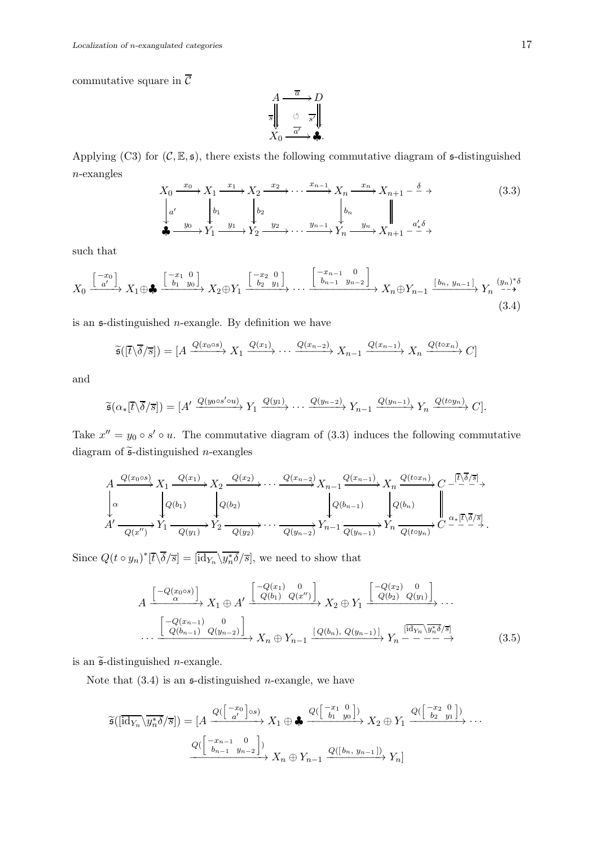commutative square in  $\overline{\mathcal{C}}$ 

$$
A \xrightarrow[\overline{s}]{\overline{a}} D
$$
  

$$
X_0 \xrightarrow[\overline{a'}]{\overline{a'}} \longrightarrow \clubsuit.
$$

Applying (C3) for  $(C, \mathbb{E}, \mathfrak{s})$ , there exists the following commutative diagram of  $\mathfrak{s}$ -distinguished n-exangles

$$
X_0 \xrightarrow{x_0} X_1 \xrightarrow{x_1} X_2 \xrightarrow{x_2} \cdots \xrightarrow{x_{n-1}} X_n \xrightarrow{x_n} X_{n+1} - \xrightarrow{\delta} \rightarrow
$$
  
\n
$$
\downarrow a'
$$
\n
$$
\downarrow b_1
$$
\n
$$
\downarrow b_2
$$
\n
$$
\downarrow b_n
$$
\n
$$
\downarrow b_n
$$
\n
$$
\downarrow b_n
$$
\n
$$
\downarrow b_n
$$
\n
$$
\downarrow a'_*
$$
\n
$$
\downarrow b_n
$$
\n
$$
\downarrow a'_*
$$
\n
$$
\downarrow b_n
$$
\n
$$
\downarrow a'_*
$$
\n
$$
\downarrow b_n
$$
\n
$$
\downarrow b_n
$$
\n
$$
\downarrow b_n
$$
\n
$$
\downarrow b_n
$$
\n
$$
\downarrow b_n
$$
\n
$$
\downarrow b_n
$$
\n
$$
\downarrow b_n
$$
\n
$$
\downarrow b_n
$$
\n
$$
\downarrow b_n
$$
\n
$$
\downarrow b_n
$$
\n
$$
\downarrow b_n
$$
\n
$$
\downarrow b_n
$$
\n
$$
\downarrow b_n
$$
\n
$$
\downarrow b_n
$$
\n
$$
\downarrow b_n
$$
\n
$$
\downarrow b_n
$$
\n
$$
\downarrow b_n
$$
\n
$$
\downarrow b_n
$$
\n
$$
\downarrow b_n
$$
\n
$$
\downarrow b_n
$$
\n
$$
\downarrow b_n
$$
\n
$$
\downarrow b_n
$$
\n
$$
\downarrow b_n
$$
\n
$$
\downarrow b_n
$$
\n
$$
\downarrow b_n
$$
\n
$$
\downarrow b_n
$$
\n
$$
\downarrow b_n
$$
\n
$$
\downarrow b_n
$$
\n
$$
\downarrow b_n
$$
\n
$$
\downarrow b_n
$$
\n
$$
\downarrow b_n
$$
\n
$$
\downarrow b_n
$$
\n
$$
\downarrow b_n
$$
\n
$$
\downarrow b_n
$$
\n
$$
\downarrow b_n
$$
\n
$$
\downarrow b_n
$$
\n
$$
\downarrow b_n
$$
\n<

such that

$$
X_0 \xrightarrow{\begin{bmatrix} -x_0 \\ a' \end{bmatrix}} X_1 \oplus \clubsuit \xrightarrow{\begin{bmatrix} -x_1 & 0 \\ b_1 & y_0 \end{bmatrix}} X_2 \oplus Y_1 \xrightarrow{\begin{bmatrix} -x_2 & 0 \\ b_2 & y_1 \end{bmatrix}} \cdots \xrightarrow{\begin{bmatrix} -x_{n-1} & 0 \\ b_{n-1} & y_{n-2} \end{bmatrix}} X_n \oplus Y_{n-1} \xrightarrow{\begin{bmatrix} b_n, y_{n-1} \end{bmatrix}} Y_n \xrightarrow{(y_n)^* \delta} (3.4)
$$

is an  $\mathfrak s$ -distinguished *n*-exangle. By definition we have

$$
\widetilde{\mathfrak{s}}([\overline{t}\backslash\overline{\delta}/\overline{s}]) = [A \xrightarrow{Q(x_0 \circ s)} X_1 \xrightarrow{Q(x_1)} \cdots \xrightarrow{Q(x_{n-2})} X_{n-1} \xrightarrow{Q(x_{n-1})} X_n \xrightarrow{Q(t \circ x_n)} C]
$$

and

$$
\widetilde{\mathfrak{s}}(\alpha_*[\overline{t}\backslash\overline{\delta}/\overline{s}])=[A'\xrightarrow{Q(y_0\circ s'\circ u)} Y_1\xrightarrow{Q(y_1)}\cdots\xrightarrow{Q(y_{n-2})} Y_{n-1}\xrightarrow{Q(y_{n-1})} Y_n\xrightarrow{Q(t\circ y_n)} C].
$$

Take  $x'' = y_0 \circ s' \circ u$ . The commutative diagram of (3.3) induces the following commutative diagram of  $\widetilde{\mathfrak{s}}$ -distinguished *n*-exangles

$$
A \xrightarrow{Q(x_0 \circ s)} X_1 \xrightarrow{Q(x_1)} X_2 \xrightarrow{Q(x_2)} \cdots \xrightarrow{Q(x_{n-2})} X_{n-1} \xrightarrow{Q(x_{n-1})} X_n \xrightarrow{Q(t \circ x_n)} C \xrightarrow{[ \overline{\mathbb{Q}} \cdot \overline{\mathbb{Q}} \cdot \overline{\mathbb{Q}} \cdot \overline{\mathbb{Q}} \cdot \overline{\mathbb{Q}} \cdot \overline{\mathbb{Q}} \cdot \overline{\mathbb{Q}} \cdot \overline{\mathbb{Q}} \cdot \overline{\mathbb{Q}} \cdot \overline{\mathbb{Q}} \cdot \overline{\mathbb{Q}} \cdot \overline{\mathbb{Q}} \cdot \overline{\mathbb{Q}} \cdot \overline{\mathbb{Q}} \cdot \overline{\mathbb{Q}} \cdot \overline{\mathbb{Q}} \cdot \overline{\mathbb{Q}} \cdot \overline{\mathbb{Q}} \cdot \overline{\mathbb{Q}} \cdot \overline{\mathbb{Q}} \cdot \overline{\mathbb{Q}} \cdot \overline{\mathbb{Q}} \cdot \overline{\mathbb{Q}} \cdot \overline{\mathbb{Q}} \cdot \overline{\mathbb{Q}} \cdot \overline{\mathbb{Q}} \cdot \overline{\mathbb{Q}} \cdot \overline{\mathbb{Q}} \cdot \overline{\mathbb{Q}} \cdot \overline{\mathbb{Q}} \cdot \overline{\mathbb{Q}} \cdot \overline{\mathbb{Q}} \cdot \overline{\mathbb{Q}} \cdot \overline{\mathbb{Q}} \cdot \overline{\mathbb{Q}} \cdot \overline{\mathbb{Q}} \cdot \overline{\mathbb{Q}} \cdot \overline{\mathbb{Q}} \cdot \overline{\mathbb{Q}} \cdot \overline{\mathbb{Q}} \cdot \overline{\mathbb{Q}} \cdot \overline{\mathbb{Q}} \cdot \overline{\mathbb{Q}} \cdot \overline{\mathbb{Q}} \cdot \overline{\mathbb{Q}} \cdot \overline{\mathbb{Q}} \cdot \overline{\mathbb{Q}} \cdot \overline{\mathbb{Q}} \cdot \overline{\mathbb{Q}} \cdot \overline{\mathbb{Q}} \cdot \overline{\mathbb{Q}} \cdot \overline{\mathbb{Q}} \cdot \overline{\mathbb{Q}} \cdot \overline{\mathbb{Q}} \cdot \overline{\mathbb{Q}} \cdot \overline{\mathbb{Q}} \cdot \overline{\mathbb{Q}} \cdot \overline{\mathbb{Q}} \cdot \overline{\mathbb{Q}} \cdot \overline{\mathbb{Q}} \cdot \overline{\mathbb{Q}} \
$$

Since  $Q(t \circ y_n)^*[\overline{t} \setminus \overline{\delta}/\overline{s}] = [\overline{\mathrm{id}_{Y_n}} \setminus \overline{y_n^* \delta}/\overline{s}],$  we need to show that

$$
A \xrightarrow{\begin{bmatrix} -Q(x_0 \circ s) \\ \alpha \end{bmatrix}} X_1 \oplus A' \xrightarrow{\begin{bmatrix} -Q(x_1) & 0 \\ Q(b_1) & Q(x'') \end{bmatrix}} X_2 \oplus Y_1 \xrightarrow{\begin{bmatrix} -Q(x_2) & 0 \\ Q(b_2) & Q(y_1) \end{bmatrix}} \cdots
$$
  
...
$$
\xrightarrow{\begin{bmatrix} -Q(x_{n-1}) & 0 \\ Q(b_{n-1}) & Q(y_{n-2}) \end{bmatrix}} X_n \oplus Y_{n-1} \xrightarrow{\begin{bmatrix} Q(b_n), Q(y_{n-1}) \end{bmatrix}} Y_n \xrightarrow{\begin{bmatrix} \overline{\operatorname{id}_{Y_n}} \setminus \overline{y_n^* \delta}/\overline{s} \end{bmatrix}} (3.5)
$$

is an  $\tilde{\mathfrak{s}}$ -distinguished *n*-exangle.

Note that  $(3.4)$  is an  $\epsilon$ -distinguished *n*-exangle, we have

$$
\widetilde{\mathfrak{s}}([\overline{\mathrm{id}_{Y_n}}\setminus \overline{y_n^* \delta}/\overline{s}]) = [A \xrightarrow{Q(\begin{bmatrix} -x_0 \\ a' \end{bmatrix} \circ s)} X_1 \oplus \clubsuit \xrightarrow{Q(\begin{bmatrix} -x_1 & 0 \\ b_1 & y_0 \end{bmatrix})} X_2 \oplus Y_1 \xrightarrow{Q(\begin{bmatrix} -x_2 & 0 \\ b_2 & y_1 \end{bmatrix})} \cdots
$$

$$
\xrightarrow{Q(\begin{bmatrix} -x_{n-1} & 0 \\ b_{n-1} & y_{n-2} \end{bmatrix})} X_n \oplus Y_{n-1} \xrightarrow{Q(\begin{bmatrix} b_n, y_{n-1} \end{bmatrix})} Y_n]
$$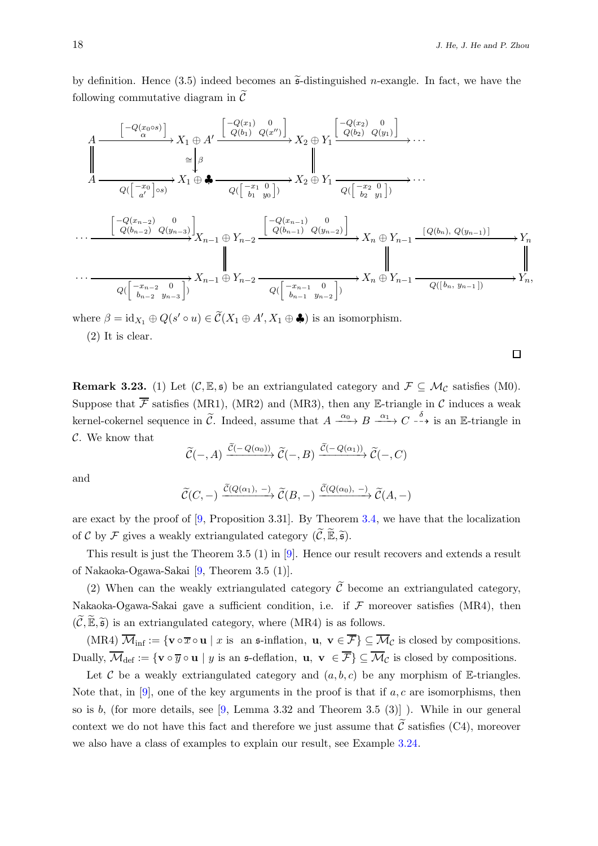by definition. Hence (3.5) indeed becomes an  $\tilde{\mathfrak{s}}$ -distinguished *n*-exangle. In fact, we have the following commutative diagram in  $\tilde{\mathcal{C}}$ 

$$
A \xrightarrow{\begin{bmatrix} -Q(x_0 \circ s) \\ \alpha \end{bmatrix}} X_1 \oplus A' \xrightarrow{\begin{bmatrix} -Q(x_1) & 0 \\ Q(b_1) & Q(x') \end{bmatrix}} X_2 \oplus Y_1 \xrightarrow{\begin{bmatrix} -Q(x_2) & 0 \\ Q(b_2) & Q(y_1) \end{bmatrix}} \cdots
$$
  

$$
A \xrightarrow{\begin{bmatrix} -Q(x_0) \\ Q(\begin{bmatrix} -x_0 \\ a'\end{bmatrix} \circ s)} X_1 \oplus \bullet \xrightarrow{\begin{bmatrix} -Q(x_1) & 0 \\ Q(\begin{bmatrix} -x_1 & 0 \\ b_1 & y_0 \end{bmatrix})} X_2 \oplus Y_1 \xrightarrow{\begin{bmatrix} -Q(x_2) & 0 \\ Q(\begin{bmatrix} -x_2 & 0 \\ b_2 & y_1 \end{bmatrix})} \cdots
$$
  

$$
\xrightarrow{\begin{bmatrix} -Q(x_{n-2}) & 0 \\ Q(b_{n-2}) & Q(y_{n-3}) \end{bmatrix}} X_{n-1} \oplus Y_{n-2} \xrightarrow{\begin{bmatrix} -Q(x_{n-1}) & 0 \\ Q(b_{n-1}) & Q(y_{n-2}) \end{bmatrix}} X_n \oplus Y_{n-1} \xrightarrow{\begin{bmatrix} Q(b_n), Q(y_{n-1}) \end{bmatrix}} Y_n
$$
  

$$
\xrightarrow{\begin{bmatrix} -x_{n-2} & 0 \\ b_{n-2} & y_{n-3} \end{bmatrix}} X_{n-1} \oplus Y_{n-2} \xrightarrow{\begin{bmatrix} -x_{n-1} & 0 \\ Q(\begin{bmatrix} -x_{n-1} & 0 \\ b_{n-1} & y_{n-2} \end{bmatrix})} X_n \oplus Y_{n-1} \xrightarrow{\begin{bmatrix} Q((b_n, y_{n-1})) \\ Q((b_n, y_{n-1})) \end{bmatrix}} Y_n,
$$

where  $\beta = id_{X_1} \oplus Q(s' \circ u) \in \widetilde{\mathcal{C}}(X_1 \oplus A', X_1 \oplus \clubsuit)$  is an isomorphism.

(2) It is clear.

**Remark 3.23.** (1) Let  $(C, \mathbb{E}, \mathfrak{s})$  be an extriangulated category and  $\mathcal{F} \subseteq \mathcal{M}_{\mathcal{C}}$  satisfies (M0). Suppose that  $\overline{\mathcal{F}}$  satisfies (MR1), (MR2) and (MR3), then any E-triangle in C induces a weak kernel-cokernel sequence in  $\tilde{C}$ . Indeed, assume that  $A \xrightarrow{\alpha_0} B \xrightarrow{\alpha_1} C \xrightarrow{\delta}$  is an E-triangle in  $\mathcal{C}$ . We know that

$$
\widetilde{\mathcal{C}}(-,A) \xrightarrow{\widetilde{\mathcal{C}}(-Q(\alpha_0))} \widetilde{\mathcal{C}}(-,B) \xrightarrow{\widetilde{\mathcal{C}}(-Q(\alpha_1))} \widetilde{\mathcal{C}}(-,C)
$$

and

$$
\widetilde{\mathcal{C}}(C,-) \xrightarrow{\widetilde{\mathcal{C}}(Q(\alpha_1), -)} \widetilde{\mathcal{C}}(B,-) \xrightarrow{\widetilde{\mathcal{C}}(Q(\alpha_0), -)} \widetilde{\mathcal{C}}(A,-)
$$

are exact by the proof of  $[9,$  Proposition 3.31. By Theorem [3.4,](#page-7-0) we have that the localization of C by F gives a weakly extriangulated category  $(\widetilde{\mathcal{C}}, \widetilde{\mathbb{E}}, \widetilde{\mathfrak{s}})$ .

This result is just the Theorem 3.5 (1) in [\[9\]](#page-19-4). Hence our result recovers and extends a result of Nakaoka-Ogawa-Sakai [\[9,](#page-19-4) Theorem 3.5 (1)].

(2) When can the weakly extriangulated category  $\tilde{\mathcal{C}}$  become an extriangulated category, Nakaoka-Ogawa-Sakai gave a sufficient condition, i.e. if  $\mathcal F$  moreover satisfies (MR4), then  $(\widetilde{C}, \widetilde{\mathbb{E}}, \widetilde{\mathfrak{s}})$  is an extriangulated category, where (MR4) is as follows.

(MR4)  $\overline{\mathcal{M}}_{\text{inf}} := \{ \mathbf{v} \circ \overline{x} \circ \mathbf{u} \mid x \text{ is an } \mathfrak{s}\text{-inflation}, \mathbf{u}, \mathbf{v} \in \overline{\mathcal{F}} \} \subseteq \overline{\mathcal{M}}_{\mathcal{C}}$  is closed by compositions. Dually,  $\overline{\mathcal{M}}_{\text{def}} := \{ \mathbf{v} \circ \overline{y} \circ \mathbf{u} \mid y \text{ is an } \mathfrak{s}\text{-definition}, \mathbf{u}, \mathbf{v} \in \overline{\mathcal{F}} \} \subseteq \overline{\mathcal{M}}_{\mathcal{C}}$  is closed by compositions.

Let C be a weakly extriangulated category and  $(a, b, c)$  be any morphism of E-triangles. Note that, in [\[9\]](#page-19-4), one of the key arguments in the proof is that if  $a, c$  are isomorphisms, then so is  $b$ , (for more details, see [\[9,](#page-19-4) Lemma 3.32 and Theorem 3.5 (3)]). While in our general context we do not have this fact and therefore we just assume that  $\tilde{C}$  satisfies (C4), moreover we also have a class of examples to explain our result, see Example [3.24.](#page-18-0)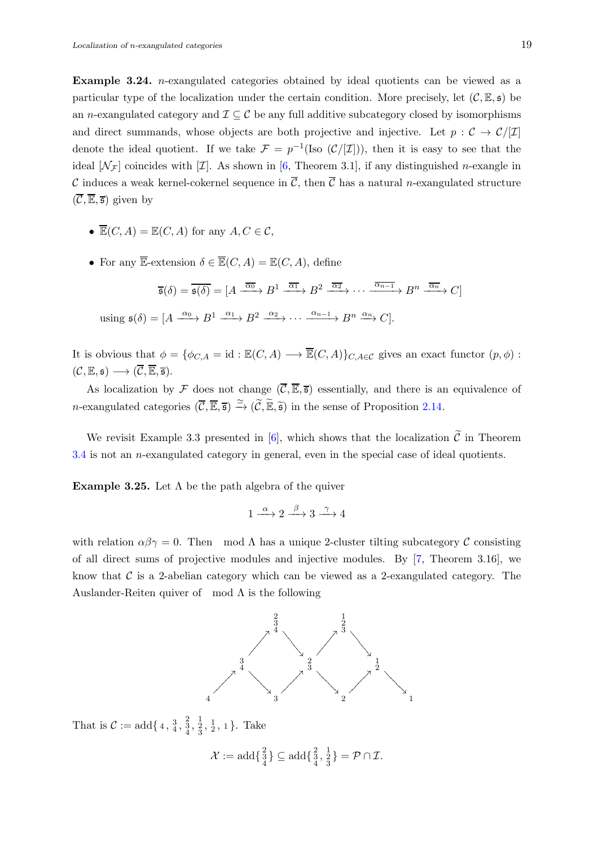<span id="page-18-0"></span>Example 3.24. n-exangulated categories obtained by ideal quotients can be viewed as a particular type of the localization under the certain condition. More precisely, let  $(C, \mathbb{E}, \mathfrak{s})$  be an n-exangulated category and  $\mathcal{I} \subseteq \mathcal{C}$  be any full additive subcategory closed by isomorphisms and direct summands, whose objects are both projective and injective. Let  $p : C \to C/[\mathcal{I}]$ denote the ideal quotient. If we take  $\mathcal{F} = p^{-1}(\text{Iso }(\mathcal{C}/[\mathcal{I}]))$ , then it is easy to see that the ideal  $[\mathcal{N}_{\mathcal{F}}]$  coincides with  $[\mathcal{I}]$ . As shown in [\[6,](#page-19-2) Theorem 3.1], if any distinguished *n*-exangle in C induces a weak kernel-cokernel sequence in  $\overline{C}$ , then  $\overline{C}$  has a natural n-exangulated structure  $(\overline{\mathcal{C}}, \overline{\mathbb{E}}, \overline{\mathfrak{s}})$  given by

- $\overline{\mathbb{E}}(C, A) = \mathbb{E}(C, A)$  for any  $A, C \in \mathcal{C}$ ,
- For any  $\overline{\mathbb{E}}$ -extension  $\delta \in \overline{\mathbb{E}}(C, A) = \mathbb{E}(C, A)$ , define

$$
\overline{\mathfrak{s}}(\delta) = \overline{\mathfrak{s}(\delta)} = [A \xrightarrow{\overline{\alpha_0}} B^1 \xrightarrow{\overline{\alpha_1}} B^2 \xrightarrow{\overline{\alpha_2}} \cdots \xrightarrow{\overline{\alpha_{n-1}}} B^n \xrightarrow{\overline{\alpha_n}} C]
$$

using  $\mathfrak{s}(\delta) = [A \xrightarrow{\alpha_0} B^1 \xrightarrow{\alpha_1} B^2 \xrightarrow{\alpha_2} \cdots \xrightarrow{\alpha_{n-1}} B^n \xrightarrow{\alpha_n} C].$ 

It is obvious that  $\phi = \{\phi_{C,A} = id : \mathbb{E}(C, A) \longrightarrow \overline{\mathbb{E}}(C, A)\}_{C, A \in \mathcal{C}}$  gives an exact functor  $(p, \phi)$ :  $(C, \mathbb{E}, \mathfrak{s}) \longrightarrow (\overline{C}, \overline{\mathbb{E}}, \overline{\mathfrak{s}}).$ 

As localization by  $\mathcal F$  does not change  $(\overline{\mathcal C}, \overline{\mathbb{E}}, \overline{\mathfrak s})$  essentially, and there is an equivalence of n-exangulated categories  $(\overline{C}, \overline{\mathbb{E}}, \overline{s}) \xrightarrow{\simeq} (\widetilde{C}, \widetilde{\mathbb{E}}, \widetilde{s})$  in the sense of Proposition [2.14.](#page-5-2)

We revisit Example 3.3 presented in [\[6\]](#page-19-2), which shows that the localization  $\tilde{\mathcal{C}}$  in Theorem  $3.4$  is not an *n*-exangulated category in general, even in the special case of ideal quotients.

**Example 3.25.** Let  $\Lambda$  be the path algebra of the quiver

$$
1 \xrightarrow{\alpha} 2 \xrightarrow{\beta} 3 \xrightarrow{\gamma} 4
$$

with relation  $\alpha\beta\gamma = 0$ . Then mod  $\Lambda$  has a unique 2-cluster tilting subcategory C consisting of all direct sums of projective modules and injective modules. By [\[7,](#page-19-7) Theorem 3.16], we know that  $C$  is a 2-abelian category which can be viewed as a 2-exangulated category. The Auslander-Reiten quiver of mod  $\Lambda$  is the following



That is  $C := \text{add}\{4, \frac{3}{4}, \frac{2}{3}, \frac{1}{2}, \frac{1}{2}, 1\}$ . Take

$$
\mathcal{X} := \mathrm{add}\{\tfrac{2}{3}\} \subseteq \mathrm{add}\{\tfrac{2}{3},\tfrac{1}{3}\} = \mathcal{P} \cap \mathcal{I}.
$$